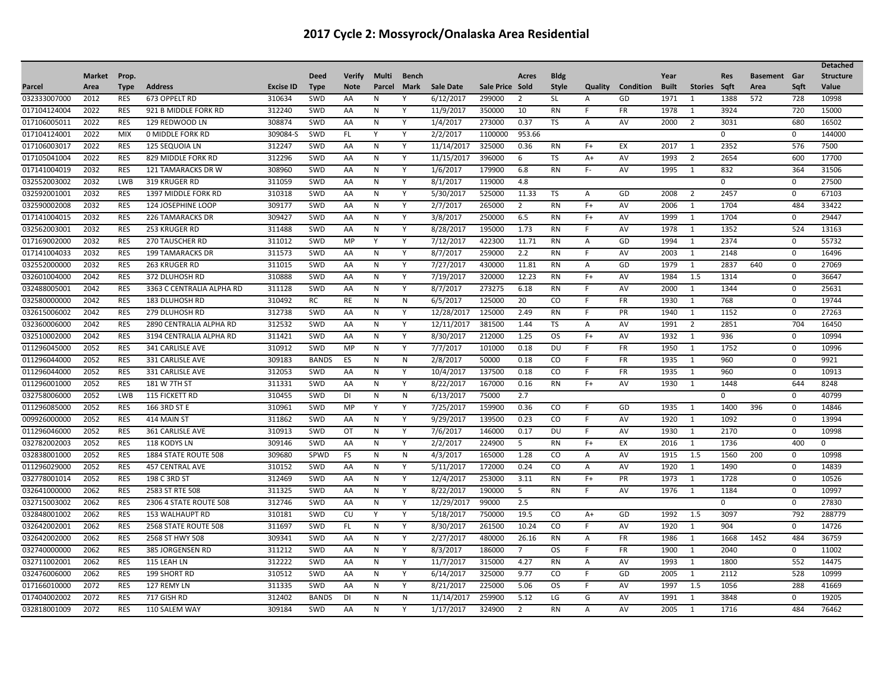| <b>Market</b><br><b>Verify</b><br><b>Bldg</b><br>Year<br>Prop.<br><b>Deed</b><br>Multi<br><b>Bench</b><br>Acres<br><b>Res</b><br><b>Basement</b> Gar<br><b>Structure</b><br>Area<br><b>Type</b><br><b>Address</b><br><b>Excise ID</b><br><b>Note</b><br><b>Sale Date</b><br>Sale Price Sold<br><b>Style</b><br>Quality<br>Condition<br><b>Built</b><br><b>Stories</b> Saft<br>Area<br>Saft<br>Value<br>Parcel<br><b>Type</b><br>Parcel<br><b>Mark</b><br>032333007000<br>2012<br>310634<br>SWD<br>6/12/2017<br>299000<br>1971<br>1388<br>572<br>728<br>10998<br><b>RES</b><br>673 OPPELT RD<br><b>V</b><br>$\overline{2}$<br><b>SL</b><br>GD<br>AA<br>N<br>A<br>$\mathbf{1}$<br>017104124004<br>2022<br>312240<br>11/9/2017<br>FR<br>3924<br>720<br>15000<br><b>RES</b><br>921 B MIDDLE FORK RD<br>SWD<br>AA<br>Y<br>350000<br>10<br><b>RN</b><br>F.<br>1978<br>N<br>1<br>017106005011<br>2022<br><b>RES</b><br>308874<br>SWD<br>1/4/2017<br>273000<br>0.37<br>TS<br>AV<br>2000<br>$\overline{2}$<br>3031<br>680<br>16502<br>129 REDWOOD LN<br>AA<br>N<br>Y<br>Α<br>017104124001<br>2022<br><b>MIX</b><br>309084-S<br>SWD<br>FL.<br>Y<br>2/2/2017<br>1100000<br>953.66<br>$\mathbf 0$<br>$\mathbf 0$<br>144000<br>0 MIDDLE FORK RD<br>Υ<br>017106003017<br>2022<br>312247<br>2352<br>576<br>7500<br><b>RES</b><br>125 SEQUOIA LN<br>SWD<br>11/14/2017<br>325000<br>0.36<br>$F+$<br>EX<br>2017<br>AA<br>N<br>Y<br><b>RN</b><br>1<br>017105041004<br>2022<br><b>RES</b><br>312296<br>SWD<br>11/15/2017<br>396000<br><b>TS</b><br>AV<br>1993<br>2654<br>600<br>17700<br>829 MIDDLE FORK RD<br>AA<br>N<br>Y<br>6<br>$A+$<br>$\overline{2}$<br>832<br>017141004019<br>2032<br><b>RES</b><br>121 TAMARACKS DR W<br>308960<br>SWD<br>AA<br>Y<br>1/6/2017<br>179900<br>6.8<br><b>RN</b><br>F-<br>AV<br>1995<br>364<br>31506<br>N<br>1<br>032552003002<br>2032<br>LWB<br>319 KRUGER RD<br>311059<br>SWD<br>Y<br>8/1/2017<br>119000<br>4.8<br>$\mathbf 0$<br>27500<br>AA<br>N<br>0<br>2032<br>310318<br>032592001001<br><b>RES</b><br>1397 MIDDLE FORK RD<br>SWD<br>AA<br>Y<br>5/30/2017<br>525000<br>11.33<br>TS<br>GD<br>2008<br>$\overline{2}$<br>2457<br>$\mathbf 0$<br>67103<br>N<br>Α<br>032590002008<br>2032<br>309177<br>2/7/2017<br>484<br><b>RES</b><br>124 JOSEPHINE LOOP<br>SWD<br>265000<br>2006<br>1704<br>33422<br>AA<br>N<br>Y<br>2<br>RN<br>$F+$<br>AV<br>-1<br>6.5<br>017141004015<br>2032<br><b>RES</b><br><b>226 TAMARACKS DR</b><br>309427<br>SWD<br>AA<br>${\sf N}$<br>Y<br>3/8/2017<br>250000<br><b>RN</b><br>$F+$<br>AV<br>1999<br>1704<br>29447<br>$\mathbf{1}$<br>$\mathbf 0$<br>032562003001<br>2032<br><b>RES</b><br>253 KRUGER RD<br>311488<br>SWD<br>AA<br>N<br>Y<br>8/28/2017<br>195000<br>1.73<br><b>RN</b><br>F.<br>AV<br>1978<br>1352<br>524<br>13163<br>1<br>2032<br>7/12/2017<br>422300<br>55732<br>017169002000<br><b>RES</b><br>311012<br>SWD<br>11.71<br><b>RN</b><br>1994<br>2374<br><b>270 TAUSCHER RD</b><br>MP<br>Y<br>Y<br>A<br>GD<br>1<br>0<br>2032<br>311573<br>SWD<br>8/7/2017<br>259000<br>2.2<br>2148<br>017141004033<br><b>RES</b><br><b>199 TAMARACKS DR</b><br>AA<br>${\sf N}$<br>Y<br><b>RN</b><br>F.<br>AV<br>2003<br>$\mathbf{1}$<br>$\mathbf 0$<br>16496<br>2032<br>7/27/2017<br>032552000000<br>311015<br>SWD<br>Y<br>430000<br>11.81<br>GD<br>1979<br>2837<br>$\mathbf 0$<br>27069<br><b>RES</b><br>263 KRUGER RD<br>AA<br><b>RN</b><br>1<br>640<br>N<br>A<br>032601004000<br>2042<br>310888<br>SWD<br>320000<br>12.23<br>1984<br>1.5<br><b>RES</b><br>372 DLUHOSH RD<br>AA<br>N<br>Y<br>7/19/2017<br><b>RN</b><br>$F+$<br>AV<br>1314<br>$\mathbf 0$<br>36647<br>032488005001<br>2042<br><b>RES</b><br>311128<br>SWD<br>273275<br>6.18<br>AV<br>1344<br>25631<br>3363 C CENTRALIA ALPHA RD<br>AA<br>N<br>Y<br>8/7/2017<br><b>RN</b><br>F.<br>2000<br>$\Omega$<br>1<br>032580000000<br>2042<br><b>RES</b><br>310492<br><b>RC</b><br>6/5/2017<br>125000<br>20<br>CO<br>F<br><b>FR</b><br>1930<br>768<br>19744<br><b>183 DLUHOSH RD</b><br>RE<br>N<br>N<br>$\mathbf 0$<br>1<br>312738<br><b>SWD</b><br>2.49<br>1152<br>27263<br>032615006002<br>2042<br><b>RES</b><br>AA<br>12/28/2017<br>125000<br><b>RN</b><br>PR<br>1940<br>279 DLUHOSH RD<br>N<br>Y<br>F.<br>1<br>0<br>032360006000<br>2042<br>312532<br>12/11/2017<br>381500<br>1991<br>2851<br>704<br><b>RES</b><br>2890 CENTRALIA ALPHA RD<br>SWD<br>Υ<br>1.44<br>AV<br>$\overline{2}$<br>16450<br>AA<br>N<br>TS<br>A<br>032510002000<br>2042<br><b>RES</b><br>3194 CENTRALIA ALPHA RD<br>311421<br>SWD<br>N<br>Y<br>8/30/2017<br>212000<br>1.25<br><b>OS</b><br>$F+$<br>AV<br>1932<br>936<br>$\mathbf 0$<br>10994<br>AA<br>1<br>011296045000<br>2052<br><b>RES</b><br>310912<br>SWD<br>MP<br>Y<br>7/7/2017<br>101000<br>0.18<br>DU<br>F.<br>FR<br>1950<br>1752<br>$\mathbf 0$<br>10996<br>341 CARLISLE AVE<br>N<br>1<br>011296044000<br>2052<br>309183<br><b>BANDS</b><br>2/8/2017<br>50000<br>0.18<br>CO<br>1935<br>960<br>9921<br><b>RES</b><br>331 CARLISLE AVE<br>ES<br>N<br>N<br>F.<br>FR<br>$\Omega$<br>$\mathbf{1}$<br>312053<br>SWD<br>960<br>011296044000<br>2052<br><b>RES</b><br>10/4/2017<br>137500<br>0.18<br>CO<br><b>FR</b><br>1935<br>$\mathbf 0$<br>10913<br>331 CARLISLE AVE<br>AA<br>N<br>Y<br>F.<br>1<br>2052<br>311331<br>SWD<br>8/22/2017<br>$F+$<br>011296001000<br><b>RES</b><br>181 W 7TH ST<br>AA<br>${\sf N}$<br>Υ<br>167000<br>0.16<br><b>RN</b><br>AV<br>1930<br>$\mathbf{1}$<br>1448<br>644<br>8248<br>032758006000<br>2052<br>310455<br>6/13/2017<br>75000<br>2.7<br><b>LWB</b><br>115 FICKETT RD<br>SWD<br>DI<br>N<br>N<br>$\Omega$<br>0<br>40799<br>011296085000<br>2052<br><b>RES</b><br>310961<br>SWD<br>MP<br>Y<br>Y<br>7/25/2017<br>159900<br>0.36<br>CO<br>F.<br>GD<br>1935<br>1400<br>396<br>$\mathbf 0$<br>14846<br>166 3RD ST E<br>1<br>009926000000<br>2052<br><b>RES</b><br>311862<br>SWD<br>Y<br>9/29/2017<br>139500<br>0.23<br>CO<br>F.<br>AV<br>1920<br>1092<br>$\mathbf 0$<br>13994<br>414 MAIN ST<br>AA<br>N<br>1<br>2052<br>310913<br>SWD<br>2170<br>011296046000<br><b>RES</b><br>OT<br>Y<br>7/6/2017<br>146000<br>0.17<br>DU<br>F.<br>AV<br>1930<br>$\mathbf 0$<br>10998<br>361 CARLISLE AVE<br>N<br>1<br>032782002003<br>2052<br>309146<br>SWD<br>2/2/2017<br>224900<br>2016<br>1736<br>400<br><b>RES</b><br><b>118 KODYS LN</b><br>AA<br>N<br>Υ<br>5<br><b>RN</b><br>$F+$<br>EX<br>1<br>$\mathbf{0}$<br>032838001000<br>2052<br>309680<br>SPWD<br>$\mathsf{N}$<br>4/3/2017<br>165000<br>1.28<br>CO<br>1915<br>1.5<br>1560<br>10998<br><b>RES</b><br>1884 STATE ROUTE 508<br><b>FS</b><br>AV<br>200<br>$\mathbf 0$<br>N<br>A<br>011296029000<br>2052<br>310152<br>SWD<br>5/11/2017<br>172000<br>0.24<br>AV<br>1920<br>1490<br>14839<br><b>RES</b><br><b>457 CENTRAL AVE</b><br>AA<br>N<br>Y<br>CO<br>$\overline{A}$<br>$\mathbf 0$<br>$\mathbf{1}$<br>032778001014<br>2052<br><b>RES</b><br>198 C 3RD ST<br>312469<br>SWD<br>Y<br>12/4/2017<br>253000<br>3.11<br><b>RN</b><br>PR<br>1973<br>1728<br>10526<br>AA<br>N<br>$F+$<br>$\mathbf 0$<br>1<br>311325<br>032641000000<br>2062<br><b>RES</b><br>SWD<br>Y<br>8/22/2017<br>190000<br>5<br><b>RN</b><br>F<br>1976<br>1184<br>10997<br>2583 ST RTE 508<br>AA<br>${\sf N}$<br>AV<br>$\mathbf 0$<br>-1<br>2.5<br>032715003002<br>2062<br><b>RES</b><br><b>2306 4 STATE ROUTE 508</b><br>312746<br>SWD<br>Y<br>12/29/2017<br>99000<br>$\Omega$<br>$\mathbf 0$<br>27830<br>AA<br>N<br>032848001002<br>2062<br><b>RES</b><br>310181<br>SWD<br>CU<br>5/18/2017<br>750000<br>19.5<br>CO<br>GD<br>1992<br>1.5<br>3097<br>792<br>288779<br>153 WALHAUPT RD<br>Y<br>$A+$<br>Y<br>032642002001<br>311697<br>2062<br><b>RES</b><br>2568 STATE ROUTE 508<br>SWD<br>FL.<br>8/30/2017<br>261500<br>10.24<br>CO<br>F<br>AV<br>1920<br>904<br>14726<br>N<br>Y<br>$\mathbf 0$<br>-1<br>032642002000<br>2062<br><b>RES</b><br>309341<br>SWD<br>2/27/2017<br>480000<br>26.16<br><b>RN</b><br><b>FR</b><br>1986<br>1668<br>1452<br>484<br>36759<br>2568 ST HWY 508<br>AA<br>N<br>Y<br>Α<br>1<br>2062<br>311212<br>SWD<br>8/3/2017<br>186000<br>$\overline{7}$<br><b>OS</b><br>2040<br>032740000000<br><b>RES</b><br>385 JORGENSEN RD<br>Y<br>F.<br><b>FR</b><br>1900<br>$\mathbf 0$<br>11002<br>AA<br>N<br>1<br>312222<br>032711002001<br>2062<br><b>RES</b><br>SWD<br>Υ<br>11/7/2017<br>315000<br>4.27<br><b>RN</b><br>AV<br>1993<br>1800<br>552<br>14475<br>115 LEAH LN<br>AA<br>N<br>Α<br>1<br>032476006000<br>2062<br><b>RES</b><br>310512<br>SWD<br>Y<br>6/14/2017<br>325000<br>9.77<br><b>CO</b><br>GD<br>2005<br>2112<br>528<br>10999<br>199 SHORT RD<br>AA<br>N<br>1<br>F.<br>311335<br>017166010000<br>2072<br>SWD<br>8/21/2017<br>225000<br>5.06<br>1056<br>288<br>RES<br>127 REMY LN<br>AA<br>N<br>Y<br>os<br>F.<br>AV<br>1997<br>1.5<br>41669<br>5.12<br>3848<br>017404002002<br>2072<br><b>RES</b><br>717 GISH RD<br>312402<br><b>BANDS</b><br>DI<br>N<br>${\sf N}$<br>11/14/2017<br>259900<br>LG<br>G<br>AV<br>1991<br>19205<br>$\mathbf{1}$<br>$\mathbf 0$<br>032818001009<br>2072<br>309184<br>1/17/2017<br><b>RN</b><br>484<br><b>RES</b><br>110 SALEM WAY<br>SWD<br>AA<br>N<br>Y<br>324900<br>$\overline{2}$<br>$\overline{A}$<br>AV<br>2005<br>1716<br>76462<br>$\mathbf{1}$ |  |  |  |  |  |  |  |  |  |  | <b>Detached</b> |
|-------------------------------------------------------------------------------------------------------------------------------------------------------------------------------------------------------------------------------------------------------------------------------------------------------------------------------------------------------------------------------------------------------------------------------------------------------------------------------------------------------------------------------------------------------------------------------------------------------------------------------------------------------------------------------------------------------------------------------------------------------------------------------------------------------------------------------------------------------------------------------------------------------------------------------------------------------------------------------------------------------------------------------------------------------------------------------------------------------------------------------------------------------------------------------------------------------------------------------------------------------------------------------------------------------------------------------------------------------------------------------------------------------------------------------------------------------------------------------------------------------------------------------------------------------------------------------------------------------------------------------------------------------------------------------------------------------------------------------------------------------------------------------------------------------------------------------------------------------------------------------------------------------------------------------------------------------------------------------------------------------------------------------------------------------------------------------------------------------------------------------------------------------------------------------------------------------------------------------------------------------------------------------------------------------------------------------------------------------------------------------------------------------------------------------------------------------------------------------------------------------------------------------------------------------------------------------------------------------------------------------------------------------------------------------------------------------------------------------------------------------------------------------------------------------------------------------------------------------------------------------------------------------------------------------------------------------------------------------------------------------------------------------------------------------------------------------------------------------------------------------------------------------------------------------------------------------------------------------------------------------------------------------------------------------------------------------------------------------------------------------------------------------------------------------------------------------------------------------------------------------------------------------------------------------------------------------------------------------------------------------------------------------------------------------------------------------------------------------------------------------------------------------------------------------------------------------------------------------------------------------------------------------------------------------------------------------------------------------------------------------------------------------------------------------------------------------------------------------------------------------------------------------------------------------------------------------------------------------------------------------------------------------------------------------------------------------------------------------------------------------------------------------------------------------------------------------------------------------------------------------------------------------------------------------------------------------------------------------------------------------------------------------------------------------------------------------------------------------------------------------------------------------------------------------------------------------------------------------------------------------------------------------------------------------------------------------------------------------------------------------------------------------------------------------------------------------------------------------------------------------------------------------------------------------------------------------------------------------------------------------------------------------------------------------------------------------------------------------------------------------------------------------------------------------------------------------------------------------------------------------------------------------------------------------------------------------------------------------------------------------------------------------------------------------------------------------------------------------------------------------------------------------------------------------------------------------------------------------------------------------------------------------------------------------------------------------------------------------------------------------------------------------------------------------------------------------------------------------------------------------------------------------------------------------------------------------------------------------------------------------------------------------------------------------------------------------------------------------------------------------------------------------------------------------------------------------------------------------------------------------------------------------------------------------------------------------------------------------------------------------------------------------------------------------------------------------------------------------------------------------------------------------------------------------------------------------------------------------------------------------------------------------------------------------------------------------------------------------------------------------------------------------------------------------------------------------------------------------------------------------------------------------------------------------------------------------------------------------------------------------------------------------------------------------------------------------------------------------------------------------------------------------------------------------------------------------------------------------------------------------------------------------------------------------------------------------------------------------------------------------------------------------------------------------------------------------------------------------------------------------------------------------------------------------------------------------------------------------------------------------------------------------------------------------------------------------------------------------------------------------------------------------------------------------------------------------------------------------------------------------------------------------------------------------------------------------------------------------------------------------------------------------------------------------------------------------------------------------------------------------------------------------------------------------------------------------------------------------------------------------------------------------------------------------------------------------------------------------------------------------------------------------------------------------------------------------------------------------------------------------------------------------------------------------------------------------------------------------------------------------------------------------------------------------------------------------------------------------------------------------------------------------------------------------------------------------------------------------------------------------------------------------------------------------------|--|--|--|--|--|--|--|--|--|--|-----------------|
|                                                                                                                                                                                                                                                                                                                                                                                                                                                                                                                                                                                                                                                                                                                                                                                                                                                                                                                                                                                                                                                                                                                                                                                                                                                                                                                                                                                                                                                                                                                                                                                                                                                                                                                                                                                                                                                                                                                                                                                                                                                                                                                                                                                                                                                                                                                                                                                                                                                                                                                                                                                                                                                                                                                                                                                                                                                                                                                                                                                                                                                                                                                                                                                                                                                                                                                                                                                                                                                                                                                                                                                                                                                                                                                                                                                                                                                                                                                                                                                                                                                                                                                                                                                                                                                                                                                                                                                                                                                                                                                                                                                                                                                                                                                                                                                                                                                                                                                                                                                                                                                                                                                                                                                                                                                                                                                                                                                                                                                                                                                                                                                                                                                                                                                                                                                                                                                                                                                                                                                                                                                                                                                                                                                                                                                                                                                                                                                                                                                                                                                                                                                                                                                                                                                                                                                                                                                                                                                                                                                                                                                                                                                                                                                                                                                                                                                                                                                                                                                                                                                                                                                                                                                                                                                                                                                                                                                                                                                                                                                                                                                                                                                                                                                                                                                                                                                                                                                                                                                                                                                                                                                                                                                                                                                                                                                                                                                                                                                                                                                                                                                                                                                                                                                     |  |  |  |  |  |  |  |  |  |  |                 |
|                                                                                                                                                                                                                                                                                                                                                                                                                                                                                                                                                                                                                                                                                                                                                                                                                                                                                                                                                                                                                                                                                                                                                                                                                                                                                                                                                                                                                                                                                                                                                                                                                                                                                                                                                                                                                                                                                                                                                                                                                                                                                                                                                                                                                                                                                                                                                                                                                                                                                                                                                                                                                                                                                                                                                                                                                                                                                                                                                                                                                                                                                                                                                                                                                                                                                                                                                                                                                                                                                                                                                                                                                                                                                                                                                                                                                                                                                                                                                                                                                                                                                                                                                                                                                                                                                                                                                                                                                                                                                                                                                                                                                                                                                                                                                                                                                                                                                                                                                                                                                                                                                                                                                                                                                                                                                                                                                                                                                                                                                                                                                                                                                                                                                                                                                                                                                                                                                                                                                                                                                                                                                                                                                                                                                                                                                                                                                                                                                                                                                                                                                                                                                                                                                                                                                                                                                                                                                                                                                                                                                                                                                                                                                                                                                                                                                                                                                                                                                                                                                                                                                                                                                                                                                                                                                                                                                                                                                                                                                                                                                                                                                                                                                                                                                                                                                                                                                                                                                                                                                                                                                                                                                                                                                                                                                                                                                                                                                                                                                                                                                                                                                                                                                                                     |  |  |  |  |  |  |  |  |  |  |                 |
|                                                                                                                                                                                                                                                                                                                                                                                                                                                                                                                                                                                                                                                                                                                                                                                                                                                                                                                                                                                                                                                                                                                                                                                                                                                                                                                                                                                                                                                                                                                                                                                                                                                                                                                                                                                                                                                                                                                                                                                                                                                                                                                                                                                                                                                                                                                                                                                                                                                                                                                                                                                                                                                                                                                                                                                                                                                                                                                                                                                                                                                                                                                                                                                                                                                                                                                                                                                                                                                                                                                                                                                                                                                                                                                                                                                                                                                                                                                                                                                                                                                                                                                                                                                                                                                                                                                                                                                                                                                                                                                                                                                                                                                                                                                                                                                                                                                                                                                                                                                                                                                                                                                                                                                                                                                                                                                                                                                                                                                                                                                                                                                                                                                                                                                                                                                                                                                                                                                                                                                                                                                                                                                                                                                                                                                                                                                                                                                                                                                                                                                                                                                                                                                                                                                                                                                                                                                                                                                                                                                                                                                                                                                                                                                                                                                                                                                                                                                                                                                                                                                                                                                                                                                                                                                                                                                                                                                                                                                                                                                                                                                                                                                                                                                                                                                                                                                                                                                                                                                                                                                                                                                                                                                                                                                                                                                                                                                                                                                                                                                                                                                                                                                                                                                     |  |  |  |  |  |  |  |  |  |  |                 |
|                                                                                                                                                                                                                                                                                                                                                                                                                                                                                                                                                                                                                                                                                                                                                                                                                                                                                                                                                                                                                                                                                                                                                                                                                                                                                                                                                                                                                                                                                                                                                                                                                                                                                                                                                                                                                                                                                                                                                                                                                                                                                                                                                                                                                                                                                                                                                                                                                                                                                                                                                                                                                                                                                                                                                                                                                                                                                                                                                                                                                                                                                                                                                                                                                                                                                                                                                                                                                                                                                                                                                                                                                                                                                                                                                                                                                                                                                                                                                                                                                                                                                                                                                                                                                                                                                                                                                                                                                                                                                                                                                                                                                                                                                                                                                                                                                                                                                                                                                                                                                                                                                                                                                                                                                                                                                                                                                                                                                                                                                                                                                                                                                                                                                                                                                                                                                                                                                                                                                                                                                                                                                                                                                                                                                                                                                                                                                                                                                                                                                                                                                                                                                                                                                                                                                                                                                                                                                                                                                                                                                                                                                                                                                                                                                                                                                                                                                                                                                                                                                                                                                                                                                                                                                                                                                                                                                                                                                                                                                                                                                                                                                                                                                                                                                                                                                                                                                                                                                                                                                                                                                                                                                                                                                                                                                                                                                                                                                                                                                                                                                                                                                                                                                                                     |  |  |  |  |  |  |  |  |  |  |                 |
|                                                                                                                                                                                                                                                                                                                                                                                                                                                                                                                                                                                                                                                                                                                                                                                                                                                                                                                                                                                                                                                                                                                                                                                                                                                                                                                                                                                                                                                                                                                                                                                                                                                                                                                                                                                                                                                                                                                                                                                                                                                                                                                                                                                                                                                                                                                                                                                                                                                                                                                                                                                                                                                                                                                                                                                                                                                                                                                                                                                                                                                                                                                                                                                                                                                                                                                                                                                                                                                                                                                                                                                                                                                                                                                                                                                                                                                                                                                                                                                                                                                                                                                                                                                                                                                                                                                                                                                                                                                                                                                                                                                                                                                                                                                                                                                                                                                                                                                                                                                                                                                                                                                                                                                                                                                                                                                                                                                                                                                                                                                                                                                                                                                                                                                                                                                                                                                                                                                                                                                                                                                                                                                                                                                                                                                                                                                                                                                                                                                                                                                                                                                                                                                                                                                                                                                                                                                                                                                                                                                                                                                                                                                                                                                                                                                                                                                                                                                                                                                                                                                                                                                                                                                                                                                                                                                                                                                                                                                                                                                                                                                                                                                                                                                                                                                                                                                                                                                                                                                                                                                                                                                                                                                                                                                                                                                                                                                                                                                                                                                                                                                                                                                                                                                     |  |  |  |  |  |  |  |  |  |  |                 |
|                                                                                                                                                                                                                                                                                                                                                                                                                                                                                                                                                                                                                                                                                                                                                                                                                                                                                                                                                                                                                                                                                                                                                                                                                                                                                                                                                                                                                                                                                                                                                                                                                                                                                                                                                                                                                                                                                                                                                                                                                                                                                                                                                                                                                                                                                                                                                                                                                                                                                                                                                                                                                                                                                                                                                                                                                                                                                                                                                                                                                                                                                                                                                                                                                                                                                                                                                                                                                                                                                                                                                                                                                                                                                                                                                                                                                                                                                                                                                                                                                                                                                                                                                                                                                                                                                                                                                                                                                                                                                                                                                                                                                                                                                                                                                                                                                                                                                                                                                                                                                                                                                                                                                                                                                                                                                                                                                                                                                                                                                                                                                                                                                                                                                                                                                                                                                                                                                                                                                                                                                                                                                                                                                                                                                                                                                                                                                                                                                                                                                                                                                                                                                                                                                                                                                                                                                                                                                                                                                                                                                                                                                                                                                                                                                                                                                                                                                                                                                                                                                                                                                                                                                                                                                                                                                                                                                                                                                                                                                                                                                                                                                                                                                                                                                                                                                                                                                                                                                                                                                                                                                                                                                                                                                                                                                                                                                                                                                                                                                                                                                                                                                                                                                                                     |  |  |  |  |  |  |  |  |  |  |                 |
|                                                                                                                                                                                                                                                                                                                                                                                                                                                                                                                                                                                                                                                                                                                                                                                                                                                                                                                                                                                                                                                                                                                                                                                                                                                                                                                                                                                                                                                                                                                                                                                                                                                                                                                                                                                                                                                                                                                                                                                                                                                                                                                                                                                                                                                                                                                                                                                                                                                                                                                                                                                                                                                                                                                                                                                                                                                                                                                                                                                                                                                                                                                                                                                                                                                                                                                                                                                                                                                                                                                                                                                                                                                                                                                                                                                                                                                                                                                                                                                                                                                                                                                                                                                                                                                                                                                                                                                                                                                                                                                                                                                                                                                                                                                                                                                                                                                                                                                                                                                                                                                                                                                                                                                                                                                                                                                                                                                                                                                                                                                                                                                                                                                                                                                                                                                                                                                                                                                                                                                                                                                                                                                                                                                                                                                                                                                                                                                                                                                                                                                                                                                                                                                                                                                                                                                                                                                                                                                                                                                                                                                                                                                                                                                                                                                                                                                                                                                                                                                                                                                                                                                                                                                                                                                                                                                                                                                                                                                                                                                                                                                                                                                                                                                                                                                                                                                                                                                                                                                                                                                                                                                                                                                                                                                                                                                                                                                                                                                                                                                                                                                                                                                                                                                     |  |  |  |  |  |  |  |  |  |  |                 |
|                                                                                                                                                                                                                                                                                                                                                                                                                                                                                                                                                                                                                                                                                                                                                                                                                                                                                                                                                                                                                                                                                                                                                                                                                                                                                                                                                                                                                                                                                                                                                                                                                                                                                                                                                                                                                                                                                                                                                                                                                                                                                                                                                                                                                                                                                                                                                                                                                                                                                                                                                                                                                                                                                                                                                                                                                                                                                                                                                                                                                                                                                                                                                                                                                                                                                                                                                                                                                                                                                                                                                                                                                                                                                                                                                                                                                                                                                                                                                                                                                                                                                                                                                                                                                                                                                                                                                                                                                                                                                                                                                                                                                                                                                                                                                                                                                                                                                                                                                                                                                                                                                                                                                                                                                                                                                                                                                                                                                                                                                                                                                                                                                                                                                                                                                                                                                                                                                                                                                                                                                                                                                                                                                                                                                                                                                                                                                                                                                                                                                                                                                                                                                                                                                                                                                                                                                                                                                                                                                                                                                                                                                                                                                                                                                                                                                                                                                                                                                                                                                                                                                                                                                                                                                                                                                                                                                                                                                                                                                                                                                                                                                                                                                                                                                                                                                                                                                                                                                                                                                                                                                                                                                                                                                                                                                                                                                                                                                                                                                                                                                                                                                                                                                                                     |  |  |  |  |  |  |  |  |  |  |                 |
|                                                                                                                                                                                                                                                                                                                                                                                                                                                                                                                                                                                                                                                                                                                                                                                                                                                                                                                                                                                                                                                                                                                                                                                                                                                                                                                                                                                                                                                                                                                                                                                                                                                                                                                                                                                                                                                                                                                                                                                                                                                                                                                                                                                                                                                                                                                                                                                                                                                                                                                                                                                                                                                                                                                                                                                                                                                                                                                                                                                                                                                                                                                                                                                                                                                                                                                                                                                                                                                                                                                                                                                                                                                                                                                                                                                                                                                                                                                                                                                                                                                                                                                                                                                                                                                                                                                                                                                                                                                                                                                                                                                                                                                                                                                                                                                                                                                                                                                                                                                                                                                                                                                                                                                                                                                                                                                                                                                                                                                                                                                                                                                                                                                                                                                                                                                                                                                                                                                                                                                                                                                                                                                                                                                                                                                                                                                                                                                                                                                                                                                                                                                                                                                                                                                                                                                                                                                                                                                                                                                                                                                                                                                                                                                                                                                                                                                                                                                                                                                                                                                                                                                                                                                                                                                                                                                                                                                                                                                                                                                                                                                                                                                                                                                                                                                                                                                                                                                                                                                                                                                                                                                                                                                                                                                                                                                                                                                                                                                                                                                                                                                                                                                                                                                     |  |  |  |  |  |  |  |  |  |  |                 |
|                                                                                                                                                                                                                                                                                                                                                                                                                                                                                                                                                                                                                                                                                                                                                                                                                                                                                                                                                                                                                                                                                                                                                                                                                                                                                                                                                                                                                                                                                                                                                                                                                                                                                                                                                                                                                                                                                                                                                                                                                                                                                                                                                                                                                                                                                                                                                                                                                                                                                                                                                                                                                                                                                                                                                                                                                                                                                                                                                                                                                                                                                                                                                                                                                                                                                                                                                                                                                                                                                                                                                                                                                                                                                                                                                                                                                                                                                                                                                                                                                                                                                                                                                                                                                                                                                                                                                                                                                                                                                                                                                                                                                                                                                                                                                                                                                                                                                                                                                                                                                                                                                                                                                                                                                                                                                                                                                                                                                                                                                                                                                                                                                                                                                                                                                                                                                                                                                                                                                                                                                                                                                                                                                                                                                                                                                                                                                                                                                                                                                                                                                                                                                                                                                                                                                                                                                                                                                                                                                                                                                                                                                                                                                                                                                                                                                                                                                                                                                                                                                                                                                                                                                                                                                                                                                                                                                                                                                                                                                                                                                                                                                                                                                                                                                                                                                                                                                                                                                                                                                                                                                                                                                                                                                                                                                                                                                                                                                                                                                                                                                                                                                                                                                                                     |  |  |  |  |  |  |  |  |  |  |                 |
|                                                                                                                                                                                                                                                                                                                                                                                                                                                                                                                                                                                                                                                                                                                                                                                                                                                                                                                                                                                                                                                                                                                                                                                                                                                                                                                                                                                                                                                                                                                                                                                                                                                                                                                                                                                                                                                                                                                                                                                                                                                                                                                                                                                                                                                                                                                                                                                                                                                                                                                                                                                                                                                                                                                                                                                                                                                                                                                                                                                                                                                                                                                                                                                                                                                                                                                                                                                                                                                                                                                                                                                                                                                                                                                                                                                                                                                                                                                                                                                                                                                                                                                                                                                                                                                                                                                                                                                                                                                                                                                                                                                                                                                                                                                                                                                                                                                                                                                                                                                                                                                                                                                                                                                                                                                                                                                                                                                                                                                                                                                                                                                                                                                                                                                                                                                                                                                                                                                                                                                                                                                                                                                                                                                                                                                                                                                                                                                                                                                                                                                                                                                                                                                                                                                                                                                                                                                                                                                                                                                                                                                                                                                                                                                                                                                                                                                                                                                                                                                                                                                                                                                                                                                                                                                                                                                                                                                                                                                                                                                                                                                                                                                                                                                                                                                                                                                                                                                                                                                                                                                                                                                                                                                                                                                                                                                                                                                                                                                                                                                                                                                                                                                                                                                     |  |  |  |  |  |  |  |  |  |  |                 |
|                                                                                                                                                                                                                                                                                                                                                                                                                                                                                                                                                                                                                                                                                                                                                                                                                                                                                                                                                                                                                                                                                                                                                                                                                                                                                                                                                                                                                                                                                                                                                                                                                                                                                                                                                                                                                                                                                                                                                                                                                                                                                                                                                                                                                                                                                                                                                                                                                                                                                                                                                                                                                                                                                                                                                                                                                                                                                                                                                                                                                                                                                                                                                                                                                                                                                                                                                                                                                                                                                                                                                                                                                                                                                                                                                                                                                                                                                                                                                                                                                                                                                                                                                                                                                                                                                                                                                                                                                                                                                                                                                                                                                                                                                                                                                                                                                                                                                                                                                                                                                                                                                                                                                                                                                                                                                                                                                                                                                                                                                                                                                                                                                                                                                                                                                                                                                                                                                                                                                                                                                                                                                                                                                                                                                                                                                                                                                                                                                                                                                                                                                                                                                                                                                                                                                                                                                                                                                                                                                                                                                                                                                                                                                                                                                                                                                                                                                                                                                                                                                                                                                                                                                                                                                                                                                                                                                                                                                                                                                                                                                                                                                                                                                                                                                                                                                                                                                                                                                                                                                                                                                                                                                                                                                                                                                                                                                                                                                                                                                                                                                                                                                                                                                                                     |  |  |  |  |  |  |  |  |  |  |                 |
|                                                                                                                                                                                                                                                                                                                                                                                                                                                                                                                                                                                                                                                                                                                                                                                                                                                                                                                                                                                                                                                                                                                                                                                                                                                                                                                                                                                                                                                                                                                                                                                                                                                                                                                                                                                                                                                                                                                                                                                                                                                                                                                                                                                                                                                                                                                                                                                                                                                                                                                                                                                                                                                                                                                                                                                                                                                                                                                                                                                                                                                                                                                                                                                                                                                                                                                                                                                                                                                                                                                                                                                                                                                                                                                                                                                                                                                                                                                                                                                                                                                                                                                                                                                                                                                                                                                                                                                                                                                                                                                                                                                                                                                                                                                                                                                                                                                                                                                                                                                                                                                                                                                                                                                                                                                                                                                                                                                                                                                                                                                                                                                                                                                                                                                                                                                                                                                                                                                                                                                                                                                                                                                                                                                                                                                                                                                                                                                                                                                                                                                                                                                                                                                                                                                                                                                                                                                                                                                                                                                                                                                                                                                                                                                                                                                                                                                                                                                                                                                                                                                                                                                                                                                                                                                                                                                                                                                                                                                                                                                                                                                                                                                                                                                                                                                                                                                                                                                                                                                                                                                                                                                                                                                                                                                                                                                                                                                                                                                                                                                                                                                                                                                                                                                     |  |  |  |  |  |  |  |  |  |  |                 |
|                                                                                                                                                                                                                                                                                                                                                                                                                                                                                                                                                                                                                                                                                                                                                                                                                                                                                                                                                                                                                                                                                                                                                                                                                                                                                                                                                                                                                                                                                                                                                                                                                                                                                                                                                                                                                                                                                                                                                                                                                                                                                                                                                                                                                                                                                                                                                                                                                                                                                                                                                                                                                                                                                                                                                                                                                                                                                                                                                                                                                                                                                                                                                                                                                                                                                                                                                                                                                                                                                                                                                                                                                                                                                                                                                                                                                                                                                                                                                                                                                                                                                                                                                                                                                                                                                                                                                                                                                                                                                                                                                                                                                                                                                                                                                                                                                                                                                                                                                                                                                                                                                                                                                                                                                                                                                                                                                                                                                                                                                                                                                                                                                                                                                                                                                                                                                                                                                                                                                                                                                                                                                                                                                                                                                                                                                                                                                                                                                                                                                                                                                                                                                                                                                                                                                                                                                                                                                                                                                                                                                                                                                                                                                                                                                                                                                                                                                                                                                                                                                                                                                                                                                                                                                                                                                                                                                                                                                                                                                                                                                                                                                                                                                                                                                                                                                                                                                                                                                                                                                                                                                                                                                                                                                                                                                                                                                                                                                                                                                                                                                                                                                                                                                                                     |  |  |  |  |  |  |  |  |  |  |                 |
|                                                                                                                                                                                                                                                                                                                                                                                                                                                                                                                                                                                                                                                                                                                                                                                                                                                                                                                                                                                                                                                                                                                                                                                                                                                                                                                                                                                                                                                                                                                                                                                                                                                                                                                                                                                                                                                                                                                                                                                                                                                                                                                                                                                                                                                                                                                                                                                                                                                                                                                                                                                                                                                                                                                                                                                                                                                                                                                                                                                                                                                                                                                                                                                                                                                                                                                                                                                                                                                                                                                                                                                                                                                                                                                                                                                                                                                                                                                                                                                                                                                                                                                                                                                                                                                                                                                                                                                                                                                                                                                                                                                                                                                                                                                                                                                                                                                                                                                                                                                                                                                                                                                                                                                                                                                                                                                                                                                                                                                                                                                                                                                                                                                                                                                                                                                                                                                                                                                                                                                                                                                                                                                                                                                                                                                                                                                                                                                                                                                                                                                                                                                                                                                                                                                                                                                                                                                                                                                                                                                                                                                                                                                                                                                                                                                                                                                                                                                                                                                                                                                                                                                                                                                                                                                                                                                                                                                                                                                                                                                                                                                                                                                                                                                                                                                                                                                                                                                                                                                                                                                                                                                                                                                                                                                                                                                                                                                                                                                                                                                                                                                                                                                                                                                     |  |  |  |  |  |  |  |  |  |  |                 |
|                                                                                                                                                                                                                                                                                                                                                                                                                                                                                                                                                                                                                                                                                                                                                                                                                                                                                                                                                                                                                                                                                                                                                                                                                                                                                                                                                                                                                                                                                                                                                                                                                                                                                                                                                                                                                                                                                                                                                                                                                                                                                                                                                                                                                                                                                                                                                                                                                                                                                                                                                                                                                                                                                                                                                                                                                                                                                                                                                                                                                                                                                                                                                                                                                                                                                                                                                                                                                                                                                                                                                                                                                                                                                                                                                                                                                                                                                                                                                                                                                                                                                                                                                                                                                                                                                                                                                                                                                                                                                                                                                                                                                                                                                                                                                                                                                                                                                                                                                                                                                                                                                                                                                                                                                                                                                                                                                                                                                                                                                                                                                                                                                                                                                                                                                                                                                                                                                                                                                                                                                                                                                                                                                                                                                                                                                                                                                                                                                                                                                                                                                                                                                                                                                                                                                                                                                                                                                                                                                                                                                                                                                                                                                                                                                                                                                                                                                                                                                                                                                                                                                                                                                                                                                                                                                                                                                                                                                                                                                                                                                                                                                                                                                                                                                                                                                                                                                                                                                                                                                                                                                                                                                                                                                                                                                                                                                                                                                                                                                                                                                                                                                                                                                                                     |  |  |  |  |  |  |  |  |  |  |                 |
|                                                                                                                                                                                                                                                                                                                                                                                                                                                                                                                                                                                                                                                                                                                                                                                                                                                                                                                                                                                                                                                                                                                                                                                                                                                                                                                                                                                                                                                                                                                                                                                                                                                                                                                                                                                                                                                                                                                                                                                                                                                                                                                                                                                                                                                                                                                                                                                                                                                                                                                                                                                                                                                                                                                                                                                                                                                                                                                                                                                                                                                                                                                                                                                                                                                                                                                                                                                                                                                                                                                                                                                                                                                                                                                                                                                                                                                                                                                                                                                                                                                                                                                                                                                                                                                                                                                                                                                                                                                                                                                                                                                                                                                                                                                                                                                                                                                                                                                                                                                                                                                                                                                                                                                                                                                                                                                                                                                                                                                                                                                                                                                                                                                                                                                                                                                                                                                                                                                                                                                                                                                                                                                                                                                                                                                                                                                                                                                                                                                                                                                                                                                                                                                                                                                                                                                                                                                                                                                                                                                                                                                                                                                                                                                                                                                                                                                                                                                                                                                                                                                                                                                                                                                                                                                                                                                                                                                                                                                                                                                                                                                                                                                                                                                                                                                                                                                                                                                                                                                                                                                                                                                                                                                                                                                                                                                                                                                                                                                                                                                                                                                                                                                                                                                     |  |  |  |  |  |  |  |  |  |  |                 |
|                                                                                                                                                                                                                                                                                                                                                                                                                                                                                                                                                                                                                                                                                                                                                                                                                                                                                                                                                                                                                                                                                                                                                                                                                                                                                                                                                                                                                                                                                                                                                                                                                                                                                                                                                                                                                                                                                                                                                                                                                                                                                                                                                                                                                                                                                                                                                                                                                                                                                                                                                                                                                                                                                                                                                                                                                                                                                                                                                                                                                                                                                                                                                                                                                                                                                                                                                                                                                                                                                                                                                                                                                                                                                                                                                                                                                                                                                                                                                                                                                                                                                                                                                                                                                                                                                                                                                                                                                                                                                                                                                                                                                                                                                                                                                                                                                                                                                                                                                                                                                                                                                                                                                                                                                                                                                                                                                                                                                                                                                                                                                                                                                                                                                                                                                                                                                                                                                                                                                                                                                                                                                                                                                                                                                                                                                                                                                                                                                                                                                                                                                                                                                                                                                                                                                                                                                                                                                                                                                                                                                                                                                                                                                                                                                                                                                                                                                                                                                                                                                                                                                                                                                                                                                                                                                                                                                                                                                                                                                                                                                                                                                                                                                                                                                                                                                                                                                                                                                                                                                                                                                                                                                                                                                                                                                                                                                                                                                                                                                                                                                                                                                                                                                                                     |  |  |  |  |  |  |  |  |  |  |                 |
|                                                                                                                                                                                                                                                                                                                                                                                                                                                                                                                                                                                                                                                                                                                                                                                                                                                                                                                                                                                                                                                                                                                                                                                                                                                                                                                                                                                                                                                                                                                                                                                                                                                                                                                                                                                                                                                                                                                                                                                                                                                                                                                                                                                                                                                                                                                                                                                                                                                                                                                                                                                                                                                                                                                                                                                                                                                                                                                                                                                                                                                                                                                                                                                                                                                                                                                                                                                                                                                                                                                                                                                                                                                                                                                                                                                                                                                                                                                                                                                                                                                                                                                                                                                                                                                                                                                                                                                                                                                                                                                                                                                                                                                                                                                                                                                                                                                                                                                                                                                                                                                                                                                                                                                                                                                                                                                                                                                                                                                                                                                                                                                                                                                                                                                                                                                                                                                                                                                                                                                                                                                                                                                                                                                                                                                                                                                                                                                                                                                                                                                                                                                                                                                                                                                                                                                                                                                                                                                                                                                                                                                                                                                                                                                                                                                                                                                                                                                                                                                                                                                                                                                                                                                                                                                                                                                                                                                                                                                                                                                                                                                                                                                                                                                                                                                                                                                                                                                                                                                                                                                                                                                                                                                                                                                                                                                                                                                                                                                                                                                                                                                                                                                                                                                     |  |  |  |  |  |  |  |  |  |  |                 |
|                                                                                                                                                                                                                                                                                                                                                                                                                                                                                                                                                                                                                                                                                                                                                                                                                                                                                                                                                                                                                                                                                                                                                                                                                                                                                                                                                                                                                                                                                                                                                                                                                                                                                                                                                                                                                                                                                                                                                                                                                                                                                                                                                                                                                                                                                                                                                                                                                                                                                                                                                                                                                                                                                                                                                                                                                                                                                                                                                                                                                                                                                                                                                                                                                                                                                                                                                                                                                                                                                                                                                                                                                                                                                                                                                                                                                                                                                                                                                                                                                                                                                                                                                                                                                                                                                                                                                                                                                                                                                                                                                                                                                                                                                                                                                                                                                                                                                                                                                                                                                                                                                                                                                                                                                                                                                                                                                                                                                                                                                                                                                                                                                                                                                                                                                                                                                                                                                                                                                                                                                                                                                                                                                                                                                                                                                                                                                                                                                                                                                                                                                                                                                                                                                                                                                                                                                                                                                                                                                                                                                                                                                                                                                                                                                                                                                                                                                                                                                                                                                                                                                                                                                                                                                                                                                                                                                                                                                                                                                                                                                                                                                                                                                                                                                                                                                                                                                                                                                                                                                                                                                                                                                                                                                                                                                                                                                                                                                                                                                                                                                                                                                                                                                                                     |  |  |  |  |  |  |  |  |  |  |                 |
|                                                                                                                                                                                                                                                                                                                                                                                                                                                                                                                                                                                                                                                                                                                                                                                                                                                                                                                                                                                                                                                                                                                                                                                                                                                                                                                                                                                                                                                                                                                                                                                                                                                                                                                                                                                                                                                                                                                                                                                                                                                                                                                                                                                                                                                                                                                                                                                                                                                                                                                                                                                                                                                                                                                                                                                                                                                                                                                                                                                                                                                                                                                                                                                                                                                                                                                                                                                                                                                                                                                                                                                                                                                                                                                                                                                                                                                                                                                                                                                                                                                                                                                                                                                                                                                                                                                                                                                                                                                                                                                                                                                                                                                                                                                                                                                                                                                                                                                                                                                                                                                                                                                                                                                                                                                                                                                                                                                                                                                                                                                                                                                                                                                                                                                                                                                                                                                                                                                                                                                                                                                                                                                                                                                                                                                                                                                                                                                                                                                                                                                                                                                                                                                                                                                                                                                                                                                                                                                                                                                                                                                                                                                                                                                                                                                                                                                                                                                                                                                                                                                                                                                                                                                                                                                                                                                                                                                                                                                                                                                                                                                                                                                                                                                                                                                                                                                                                                                                                                                                                                                                                                                                                                                                                                                                                                                                                                                                                                                                                                                                                                                                                                                                                                                     |  |  |  |  |  |  |  |  |  |  |                 |
|                                                                                                                                                                                                                                                                                                                                                                                                                                                                                                                                                                                                                                                                                                                                                                                                                                                                                                                                                                                                                                                                                                                                                                                                                                                                                                                                                                                                                                                                                                                                                                                                                                                                                                                                                                                                                                                                                                                                                                                                                                                                                                                                                                                                                                                                                                                                                                                                                                                                                                                                                                                                                                                                                                                                                                                                                                                                                                                                                                                                                                                                                                                                                                                                                                                                                                                                                                                                                                                                                                                                                                                                                                                                                                                                                                                                                                                                                                                                                                                                                                                                                                                                                                                                                                                                                                                                                                                                                                                                                                                                                                                                                                                                                                                                                                                                                                                                                                                                                                                                                                                                                                                                                                                                                                                                                                                                                                                                                                                                                                                                                                                                                                                                                                                                                                                                                                                                                                                                                                                                                                                                                                                                                                                                                                                                                                                                                                                                                                                                                                                                                                                                                                                                                                                                                                                                                                                                                                                                                                                                                                                                                                                                                                                                                                                                                                                                                                                                                                                                                                                                                                                                                                                                                                                                                                                                                                                                                                                                                                                                                                                                                                                                                                                                                                                                                                                                                                                                                                                                                                                                                                                                                                                                                                                                                                                                                                                                                                                                                                                                                                                                                                                                                                                     |  |  |  |  |  |  |  |  |  |  |                 |
|                                                                                                                                                                                                                                                                                                                                                                                                                                                                                                                                                                                                                                                                                                                                                                                                                                                                                                                                                                                                                                                                                                                                                                                                                                                                                                                                                                                                                                                                                                                                                                                                                                                                                                                                                                                                                                                                                                                                                                                                                                                                                                                                                                                                                                                                                                                                                                                                                                                                                                                                                                                                                                                                                                                                                                                                                                                                                                                                                                                                                                                                                                                                                                                                                                                                                                                                                                                                                                                                                                                                                                                                                                                                                                                                                                                                                                                                                                                                                                                                                                                                                                                                                                                                                                                                                                                                                                                                                                                                                                                                                                                                                                                                                                                                                                                                                                                                                                                                                                                                                                                                                                                                                                                                                                                                                                                                                                                                                                                                                                                                                                                                                                                                                                                                                                                                                                                                                                                                                                                                                                                                                                                                                                                                                                                                                                                                                                                                                                                                                                                                                                                                                                                                                                                                                                                                                                                                                                                                                                                                                                                                                                                                                                                                                                                                                                                                                                                                                                                                                                                                                                                                                                                                                                                                                                                                                                                                                                                                                                                                                                                                                                                                                                                                                                                                                                                                                                                                                                                                                                                                                                                                                                                                                                                                                                                                                                                                                                                                                                                                                                                                                                                                                                                     |  |  |  |  |  |  |  |  |  |  |                 |
|                                                                                                                                                                                                                                                                                                                                                                                                                                                                                                                                                                                                                                                                                                                                                                                                                                                                                                                                                                                                                                                                                                                                                                                                                                                                                                                                                                                                                                                                                                                                                                                                                                                                                                                                                                                                                                                                                                                                                                                                                                                                                                                                                                                                                                                                                                                                                                                                                                                                                                                                                                                                                                                                                                                                                                                                                                                                                                                                                                                                                                                                                                                                                                                                                                                                                                                                                                                                                                                                                                                                                                                                                                                                                                                                                                                                                                                                                                                                                                                                                                                                                                                                                                                                                                                                                                                                                                                                                                                                                                                                                                                                                                                                                                                                                                                                                                                                                                                                                                                                                                                                                                                                                                                                                                                                                                                                                                                                                                                                                                                                                                                                                                                                                                                                                                                                                                                                                                                                                                                                                                                                                                                                                                                                                                                                                                                                                                                                                                                                                                                                                                                                                                                                                                                                                                                                                                                                                                                                                                                                                                                                                                                                                                                                                                                                                                                                                                                                                                                                                                                                                                                                                                                                                                                                                                                                                                                                                                                                                                                                                                                                                                                                                                                                                                                                                                                                                                                                                                                                                                                                                                                                                                                                                                                                                                                                                                                                                                                                                                                                                                                                                                                                                                                     |  |  |  |  |  |  |  |  |  |  |                 |
|                                                                                                                                                                                                                                                                                                                                                                                                                                                                                                                                                                                                                                                                                                                                                                                                                                                                                                                                                                                                                                                                                                                                                                                                                                                                                                                                                                                                                                                                                                                                                                                                                                                                                                                                                                                                                                                                                                                                                                                                                                                                                                                                                                                                                                                                                                                                                                                                                                                                                                                                                                                                                                                                                                                                                                                                                                                                                                                                                                                                                                                                                                                                                                                                                                                                                                                                                                                                                                                                                                                                                                                                                                                                                                                                                                                                                                                                                                                                                                                                                                                                                                                                                                                                                                                                                                                                                                                                                                                                                                                                                                                                                                                                                                                                                                                                                                                                                                                                                                                                                                                                                                                                                                                                                                                                                                                                                                                                                                                                                                                                                                                                                                                                                                                                                                                                                                                                                                                                                                                                                                                                                                                                                                                                                                                                                                                                                                                                                                                                                                                                                                                                                                                                                                                                                                                                                                                                                                                                                                                                                                                                                                                                                                                                                                                                                                                                                                                                                                                                                                                                                                                                                                                                                                                                                                                                                                                                                                                                                                                                                                                                                                                                                                                                                                                                                                                                                                                                                                                                                                                                                                                                                                                                                                                                                                                                                                                                                                                                                                                                                                                                                                                                                                                     |  |  |  |  |  |  |  |  |  |  |                 |
|                                                                                                                                                                                                                                                                                                                                                                                                                                                                                                                                                                                                                                                                                                                                                                                                                                                                                                                                                                                                                                                                                                                                                                                                                                                                                                                                                                                                                                                                                                                                                                                                                                                                                                                                                                                                                                                                                                                                                                                                                                                                                                                                                                                                                                                                                                                                                                                                                                                                                                                                                                                                                                                                                                                                                                                                                                                                                                                                                                                                                                                                                                                                                                                                                                                                                                                                                                                                                                                                                                                                                                                                                                                                                                                                                                                                                                                                                                                                                                                                                                                                                                                                                                                                                                                                                                                                                                                                                                                                                                                                                                                                                                                                                                                                                                                                                                                                                                                                                                                                                                                                                                                                                                                                                                                                                                                                                                                                                                                                                                                                                                                                                                                                                                                                                                                                                                                                                                                                                                                                                                                                                                                                                                                                                                                                                                                                                                                                                                                                                                                                                                                                                                                                                                                                                                                                                                                                                                                                                                                                                                                                                                                                                                                                                                                                                                                                                                                                                                                                                                                                                                                                                                                                                                                                                                                                                                                                                                                                                                                                                                                                                                                                                                                                                                                                                                                                                                                                                                                                                                                                                                                                                                                                                                                                                                                                                                                                                                                                                                                                                                                                                                                                                                                     |  |  |  |  |  |  |  |  |  |  |                 |
|                                                                                                                                                                                                                                                                                                                                                                                                                                                                                                                                                                                                                                                                                                                                                                                                                                                                                                                                                                                                                                                                                                                                                                                                                                                                                                                                                                                                                                                                                                                                                                                                                                                                                                                                                                                                                                                                                                                                                                                                                                                                                                                                                                                                                                                                                                                                                                                                                                                                                                                                                                                                                                                                                                                                                                                                                                                                                                                                                                                                                                                                                                                                                                                                                                                                                                                                                                                                                                                                                                                                                                                                                                                                                                                                                                                                                                                                                                                                                                                                                                                                                                                                                                                                                                                                                                                                                                                                                                                                                                                                                                                                                                                                                                                                                                                                                                                                                                                                                                                                                                                                                                                                                                                                                                                                                                                                                                                                                                                                                                                                                                                                                                                                                                                                                                                                                                                                                                                                                                                                                                                                                                                                                                                                                                                                                                                                                                                                                                                                                                                                                                                                                                                                                                                                                                                                                                                                                                                                                                                                                                                                                                                                                                                                                                                                                                                                                                                                                                                                                                                                                                                                                                                                                                                                                                                                                                                                                                                                                                                                                                                                                                                                                                                                                                                                                                                                                                                                                                                                                                                                                                                                                                                                                                                                                                                                                                                                                                                                                                                                                                                                                                                                                                                     |  |  |  |  |  |  |  |  |  |  |                 |
|                                                                                                                                                                                                                                                                                                                                                                                                                                                                                                                                                                                                                                                                                                                                                                                                                                                                                                                                                                                                                                                                                                                                                                                                                                                                                                                                                                                                                                                                                                                                                                                                                                                                                                                                                                                                                                                                                                                                                                                                                                                                                                                                                                                                                                                                                                                                                                                                                                                                                                                                                                                                                                                                                                                                                                                                                                                                                                                                                                                                                                                                                                                                                                                                                                                                                                                                                                                                                                                                                                                                                                                                                                                                                                                                                                                                                                                                                                                                                                                                                                                                                                                                                                                                                                                                                                                                                                                                                                                                                                                                                                                                                                                                                                                                                                                                                                                                                                                                                                                                                                                                                                                                                                                                                                                                                                                                                                                                                                                                                                                                                                                                                                                                                                                                                                                                                                                                                                                                                                                                                                                                                                                                                                                                                                                                                                                                                                                                                                                                                                                                                                                                                                                                                                                                                                                                                                                                                                                                                                                                                                                                                                                                                                                                                                                                                                                                                                                                                                                                                                                                                                                                                                                                                                                                                                                                                                                                                                                                                                                                                                                                                                                                                                                                                                                                                                                                                                                                                                                                                                                                                                                                                                                                                                                                                                                                                                                                                                                                                                                                                                                                                                                                                                                     |  |  |  |  |  |  |  |  |  |  |                 |
|                                                                                                                                                                                                                                                                                                                                                                                                                                                                                                                                                                                                                                                                                                                                                                                                                                                                                                                                                                                                                                                                                                                                                                                                                                                                                                                                                                                                                                                                                                                                                                                                                                                                                                                                                                                                                                                                                                                                                                                                                                                                                                                                                                                                                                                                                                                                                                                                                                                                                                                                                                                                                                                                                                                                                                                                                                                                                                                                                                                                                                                                                                                                                                                                                                                                                                                                                                                                                                                                                                                                                                                                                                                                                                                                                                                                                                                                                                                                                                                                                                                                                                                                                                                                                                                                                                                                                                                                                                                                                                                                                                                                                                                                                                                                                                                                                                                                                                                                                                                                                                                                                                                                                                                                                                                                                                                                                                                                                                                                                                                                                                                                                                                                                                                                                                                                                                                                                                                                                                                                                                                                                                                                                                                                                                                                                                                                                                                                                                                                                                                                                                                                                                                                                                                                                                                                                                                                                                                                                                                                                                                                                                                                                                                                                                                                                                                                                                                                                                                                                                                                                                                                                                                                                                                                                                                                                                                                                                                                                                                                                                                                                                                                                                                                                                                                                                                                                                                                                                                                                                                                                                                                                                                                                                                                                                                                                                                                                                                                                                                                                                                                                                                                                                                     |  |  |  |  |  |  |  |  |  |  |                 |
|                                                                                                                                                                                                                                                                                                                                                                                                                                                                                                                                                                                                                                                                                                                                                                                                                                                                                                                                                                                                                                                                                                                                                                                                                                                                                                                                                                                                                                                                                                                                                                                                                                                                                                                                                                                                                                                                                                                                                                                                                                                                                                                                                                                                                                                                                                                                                                                                                                                                                                                                                                                                                                                                                                                                                                                                                                                                                                                                                                                                                                                                                                                                                                                                                                                                                                                                                                                                                                                                                                                                                                                                                                                                                                                                                                                                                                                                                                                                                                                                                                                                                                                                                                                                                                                                                                                                                                                                                                                                                                                                                                                                                                                                                                                                                                                                                                                                                                                                                                                                                                                                                                                                                                                                                                                                                                                                                                                                                                                                                                                                                                                                                                                                                                                                                                                                                                                                                                                                                                                                                                                                                                                                                                                                                                                                                                                                                                                                                                                                                                                                                                                                                                                                                                                                                                                                                                                                                                                                                                                                                                                                                                                                                                                                                                                                                                                                                                                                                                                                                                                                                                                                                                                                                                                                                                                                                                                                                                                                                                                                                                                                                                                                                                                                                                                                                                                                                                                                                                                                                                                                                                                                                                                                                                                                                                                                                                                                                                                                                                                                                                                                                                                                                                                     |  |  |  |  |  |  |  |  |  |  |                 |
|                                                                                                                                                                                                                                                                                                                                                                                                                                                                                                                                                                                                                                                                                                                                                                                                                                                                                                                                                                                                                                                                                                                                                                                                                                                                                                                                                                                                                                                                                                                                                                                                                                                                                                                                                                                                                                                                                                                                                                                                                                                                                                                                                                                                                                                                                                                                                                                                                                                                                                                                                                                                                                                                                                                                                                                                                                                                                                                                                                                                                                                                                                                                                                                                                                                                                                                                                                                                                                                                                                                                                                                                                                                                                                                                                                                                                                                                                                                                                                                                                                                                                                                                                                                                                                                                                                                                                                                                                                                                                                                                                                                                                                                                                                                                                                                                                                                                                                                                                                                                                                                                                                                                                                                                                                                                                                                                                                                                                                                                                                                                                                                                                                                                                                                                                                                                                                                                                                                                                                                                                                                                                                                                                                                                                                                                                                                                                                                                                                                                                                                                                                                                                                                                                                                                                                                                                                                                                                                                                                                                                                                                                                                                                                                                                                                                                                                                                                                                                                                                                                                                                                                                                                                                                                                                                                                                                                                                                                                                                                                                                                                                                                                                                                                                                                                                                                                                                                                                                                                                                                                                                                                                                                                                                                                                                                                                                                                                                                                                                                                                                                                                                                                                                                                     |  |  |  |  |  |  |  |  |  |  |                 |
|                                                                                                                                                                                                                                                                                                                                                                                                                                                                                                                                                                                                                                                                                                                                                                                                                                                                                                                                                                                                                                                                                                                                                                                                                                                                                                                                                                                                                                                                                                                                                                                                                                                                                                                                                                                                                                                                                                                                                                                                                                                                                                                                                                                                                                                                                                                                                                                                                                                                                                                                                                                                                                                                                                                                                                                                                                                                                                                                                                                                                                                                                                                                                                                                                                                                                                                                                                                                                                                                                                                                                                                                                                                                                                                                                                                                                                                                                                                                                                                                                                                                                                                                                                                                                                                                                                                                                                                                                                                                                                                                                                                                                                                                                                                                                                                                                                                                                                                                                                                                                                                                                                                                                                                                                                                                                                                                                                                                                                                                                                                                                                                                                                                                                                                                                                                                                                                                                                                                                                                                                                                                                                                                                                                                                                                                                                                                                                                                                                                                                                                                                                                                                                                                                                                                                                                                                                                                                                                                                                                                                                                                                                                                                                                                                                                                                                                                                                                                                                                                                                                                                                                                                                                                                                                                                                                                                                                                                                                                                                                                                                                                                                                                                                                                                                                                                                                                                                                                                                                                                                                                                                                                                                                                                                                                                                                                                                                                                                                                                                                                                                                                                                                                                                                     |  |  |  |  |  |  |  |  |  |  |                 |
|                                                                                                                                                                                                                                                                                                                                                                                                                                                                                                                                                                                                                                                                                                                                                                                                                                                                                                                                                                                                                                                                                                                                                                                                                                                                                                                                                                                                                                                                                                                                                                                                                                                                                                                                                                                                                                                                                                                                                                                                                                                                                                                                                                                                                                                                                                                                                                                                                                                                                                                                                                                                                                                                                                                                                                                                                                                                                                                                                                                                                                                                                                                                                                                                                                                                                                                                                                                                                                                                                                                                                                                                                                                                                                                                                                                                                                                                                                                                                                                                                                                                                                                                                                                                                                                                                                                                                                                                                                                                                                                                                                                                                                                                                                                                                                                                                                                                                                                                                                                                                                                                                                                                                                                                                                                                                                                                                                                                                                                                                                                                                                                                                                                                                                                                                                                                                                                                                                                                                                                                                                                                                                                                                                                                                                                                                                                                                                                                                                                                                                                                                                                                                                                                                                                                                                                                                                                                                                                                                                                                                                                                                                                                                                                                                                                                                                                                                                                                                                                                                                                                                                                                                                                                                                                                                                                                                                                                                                                                                                                                                                                                                                                                                                                                                                                                                                                                                                                                                                                                                                                                                                                                                                                                                                                                                                                                                                                                                                                                                                                                                                                                                                                                                                                     |  |  |  |  |  |  |  |  |  |  |                 |
|                                                                                                                                                                                                                                                                                                                                                                                                                                                                                                                                                                                                                                                                                                                                                                                                                                                                                                                                                                                                                                                                                                                                                                                                                                                                                                                                                                                                                                                                                                                                                                                                                                                                                                                                                                                                                                                                                                                                                                                                                                                                                                                                                                                                                                                                                                                                                                                                                                                                                                                                                                                                                                                                                                                                                                                                                                                                                                                                                                                                                                                                                                                                                                                                                                                                                                                                                                                                                                                                                                                                                                                                                                                                                                                                                                                                                                                                                                                                                                                                                                                                                                                                                                                                                                                                                                                                                                                                                                                                                                                                                                                                                                                                                                                                                                                                                                                                                                                                                                                                                                                                                                                                                                                                                                                                                                                                                                                                                                                                                                                                                                                                                                                                                                                                                                                                                                                                                                                                                                                                                                                                                                                                                                                                                                                                                                                                                                                                                                                                                                                                                                                                                                                                                                                                                                                                                                                                                                                                                                                                                                                                                                                                                                                                                                                                                                                                                                                                                                                                                                                                                                                                                                                                                                                                                                                                                                                                                                                                                                                                                                                                                                                                                                                                                                                                                                                                                                                                                                                                                                                                                                                                                                                                                                                                                                                                                                                                                                                                                                                                                                                                                                                                                                                     |  |  |  |  |  |  |  |  |  |  |                 |
|                                                                                                                                                                                                                                                                                                                                                                                                                                                                                                                                                                                                                                                                                                                                                                                                                                                                                                                                                                                                                                                                                                                                                                                                                                                                                                                                                                                                                                                                                                                                                                                                                                                                                                                                                                                                                                                                                                                                                                                                                                                                                                                                                                                                                                                                                                                                                                                                                                                                                                                                                                                                                                                                                                                                                                                                                                                                                                                                                                                                                                                                                                                                                                                                                                                                                                                                                                                                                                                                                                                                                                                                                                                                                                                                                                                                                                                                                                                                                                                                                                                                                                                                                                                                                                                                                                                                                                                                                                                                                                                                                                                                                                                                                                                                                                                                                                                                                                                                                                                                                                                                                                                                                                                                                                                                                                                                                                                                                                                                                                                                                                                                                                                                                                                                                                                                                                                                                                                                                                                                                                                                                                                                                                                                                                                                                                                                                                                                                                                                                                                                                                                                                                                                                                                                                                                                                                                                                                                                                                                                                                                                                                                                                                                                                                                                                                                                                                                                                                                                                                                                                                                                                                                                                                                                                                                                                                                                                                                                                                                                                                                                                                                                                                                                                                                                                                                                                                                                                                                                                                                                                                                                                                                                                                                                                                                                                                                                                                                                                                                                                                                                                                                                                                                     |  |  |  |  |  |  |  |  |  |  |                 |
|                                                                                                                                                                                                                                                                                                                                                                                                                                                                                                                                                                                                                                                                                                                                                                                                                                                                                                                                                                                                                                                                                                                                                                                                                                                                                                                                                                                                                                                                                                                                                                                                                                                                                                                                                                                                                                                                                                                                                                                                                                                                                                                                                                                                                                                                                                                                                                                                                                                                                                                                                                                                                                                                                                                                                                                                                                                                                                                                                                                                                                                                                                                                                                                                                                                                                                                                                                                                                                                                                                                                                                                                                                                                                                                                                                                                                                                                                                                                                                                                                                                                                                                                                                                                                                                                                                                                                                                                                                                                                                                                                                                                                                                                                                                                                                                                                                                                                                                                                                                                                                                                                                                                                                                                                                                                                                                                                                                                                                                                                                                                                                                                                                                                                                                                                                                                                                                                                                                                                                                                                                                                                                                                                                                                                                                                                                                                                                                                                                                                                                                                                                                                                                                                                                                                                                                                                                                                                                                                                                                                                                                                                                                                                                                                                                                                                                                                                                                                                                                                                                                                                                                                                                                                                                                                                                                                                                                                                                                                                                                                                                                                                                                                                                                                                                                                                                                                                                                                                                                                                                                                                                                                                                                                                                                                                                                                                                                                                                                                                                                                                                                                                                                                                                                     |  |  |  |  |  |  |  |  |  |  |                 |
|                                                                                                                                                                                                                                                                                                                                                                                                                                                                                                                                                                                                                                                                                                                                                                                                                                                                                                                                                                                                                                                                                                                                                                                                                                                                                                                                                                                                                                                                                                                                                                                                                                                                                                                                                                                                                                                                                                                                                                                                                                                                                                                                                                                                                                                                                                                                                                                                                                                                                                                                                                                                                                                                                                                                                                                                                                                                                                                                                                                                                                                                                                                                                                                                                                                                                                                                                                                                                                                                                                                                                                                                                                                                                                                                                                                                                                                                                                                                                                                                                                                                                                                                                                                                                                                                                                                                                                                                                                                                                                                                                                                                                                                                                                                                                                                                                                                                                                                                                                                                                                                                                                                                                                                                                                                                                                                                                                                                                                                                                                                                                                                                                                                                                                                                                                                                                                                                                                                                                                                                                                                                                                                                                                                                                                                                                                                                                                                                                                                                                                                                                                                                                                                                                                                                                                                                                                                                                                                                                                                                                                                                                                                                                                                                                                                                                                                                                                                                                                                                                                                                                                                                                                                                                                                                                                                                                                                                                                                                                                                                                                                                                                                                                                                                                                                                                                                                                                                                                                                                                                                                                                                                                                                                                                                                                                                                                                                                                                                                                                                                                                                                                                                                                                                     |  |  |  |  |  |  |  |  |  |  |                 |
|                                                                                                                                                                                                                                                                                                                                                                                                                                                                                                                                                                                                                                                                                                                                                                                                                                                                                                                                                                                                                                                                                                                                                                                                                                                                                                                                                                                                                                                                                                                                                                                                                                                                                                                                                                                                                                                                                                                                                                                                                                                                                                                                                                                                                                                                                                                                                                                                                                                                                                                                                                                                                                                                                                                                                                                                                                                                                                                                                                                                                                                                                                                                                                                                                                                                                                                                                                                                                                                                                                                                                                                                                                                                                                                                                                                                                                                                                                                                                                                                                                                                                                                                                                                                                                                                                                                                                                                                                                                                                                                                                                                                                                                                                                                                                                                                                                                                                                                                                                                                                                                                                                                                                                                                                                                                                                                                                                                                                                                                                                                                                                                                                                                                                                                                                                                                                                                                                                                                                                                                                                                                                                                                                                                                                                                                                                                                                                                                                                                                                                                                                                                                                                                                                                                                                                                                                                                                                                                                                                                                                                                                                                                                                                                                                                                                                                                                                                                                                                                                                                                                                                                                                                                                                                                                                                                                                                                                                                                                                                                                                                                                                                                                                                                                                                                                                                                                                                                                                                                                                                                                                                                                                                                                                                                                                                                                                                                                                                                                                                                                                                                                                                                                                                                     |  |  |  |  |  |  |  |  |  |  |                 |
|                                                                                                                                                                                                                                                                                                                                                                                                                                                                                                                                                                                                                                                                                                                                                                                                                                                                                                                                                                                                                                                                                                                                                                                                                                                                                                                                                                                                                                                                                                                                                                                                                                                                                                                                                                                                                                                                                                                                                                                                                                                                                                                                                                                                                                                                                                                                                                                                                                                                                                                                                                                                                                                                                                                                                                                                                                                                                                                                                                                                                                                                                                                                                                                                                                                                                                                                                                                                                                                                                                                                                                                                                                                                                                                                                                                                                                                                                                                                                                                                                                                                                                                                                                                                                                                                                                                                                                                                                                                                                                                                                                                                                                                                                                                                                                                                                                                                                                                                                                                                                                                                                                                                                                                                                                                                                                                                                                                                                                                                                                                                                                                                                                                                                                                                                                                                                                                                                                                                                                                                                                                                                                                                                                                                                                                                                                                                                                                                                                                                                                                                                                                                                                                                                                                                                                                                                                                                                                                                                                                                                                                                                                                                                                                                                                                                                                                                                                                                                                                                                                                                                                                                                                                                                                                                                                                                                                                                                                                                                                                                                                                                                                                                                                                                                                                                                                                                                                                                                                                                                                                                                                                                                                                                                                                                                                                                                                                                                                                                                                                                                                                                                                                                                                                     |  |  |  |  |  |  |  |  |  |  |                 |
|                                                                                                                                                                                                                                                                                                                                                                                                                                                                                                                                                                                                                                                                                                                                                                                                                                                                                                                                                                                                                                                                                                                                                                                                                                                                                                                                                                                                                                                                                                                                                                                                                                                                                                                                                                                                                                                                                                                                                                                                                                                                                                                                                                                                                                                                                                                                                                                                                                                                                                                                                                                                                                                                                                                                                                                                                                                                                                                                                                                                                                                                                                                                                                                                                                                                                                                                                                                                                                                                                                                                                                                                                                                                                                                                                                                                                                                                                                                                                                                                                                                                                                                                                                                                                                                                                                                                                                                                                                                                                                                                                                                                                                                                                                                                                                                                                                                                                                                                                                                                                                                                                                                                                                                                                                                                                                                                                                                                                                                                                                                                                                                                                                                                                                                                                                                                                                                                                                                                                                                                                                                                                                                                                                                                                                                                                                                                                                                                                                                                                                                                                                                                                                                                                                                                                                                                                                                                                                                                                                                                                                                                                                                                                                                                                                                                                                                                                                                                                                                                                                                                                                                                                                                                                                                                                                                                                                                                                                                                                                                                                                                                                                                                                                                                                                                                                                                                                                                                                                                                                                                                                                                                                                                                                                                                                                                                                                                                                                                                                                                                                                                                                                                                                                                     |  |  |  |  |  |  |  |  |  |  |                 |
|                                                                                                                                                                                                                                                                                                                                                                                                                                                                                                                                                                                                                                                                                                                                                                                                                                                                                                                                                                                                                                                                                                                                                                                                                                                                                                                                                                                                                                                                                                                                                                                                                                                                                                                                                                                                                                                                                                                                                                                                                                                                                                                                                                                                                                                                                                                                                                                                                                                                                                                                                                                                                                                                                                                                                                                                                                                                                                                                                                                                                                                                                                                                                                                                                                                                                                                                                                                                                                                                                                                                                                                                                                                                                                                                                                                                                                                                                                                                                                                                                                                                                                                                                                                                                                                                                                                                                                                                                                                                                                                                                                                                                                                                                                                                                                                                                                                                                                                                                                                                                                                                                                                                                                                                                                                                                                                                                                                                                                                                                                                                                                                                                                                                                                                                                                                                                                                                                                                                                                                                                                                                                                                                                                                                                                                                                                                                                                                                                                                                                                                                                                                                                                                                                                                                                                                                                                                                                                                                                                                                                                                                                                                                                                                                                                                                                                                                                                                                                                                                                                                                                                                                                                                                                                                                                                                                                                                                                                                                                                                                                                                                                                                                                                                                                                                                                                                                                                                                                                                                                                                                                                                                                                                                                                                                                                                                                                                                                                                                                                                                                                                                                                                                                                                     |  |  |  |  |  |  |  |  |  |  |                 |
|                                                                                                                                                                                                                                                                                                                                                                                                                                                                                                                                                                                                                                                                                                                                                                                                                                                                                                                                                                                                                                                                                                                                                                                                                                                                                                                                                                                                                                                                                                                                                                                                                                                                                                                                                                                                                                                                                                                                                                                                                                                                                                                                                                                                                                                                                                                                                                                                                                                                                                                                                                                                                                                                                                                                                                                                                                                                                                                                                                                                                                                                                                                                                                                                                                                                                                                                                                                                                                                                                                                                                                                                                                                                                                                                                                                                                                                                                                                                                                                                                                                                                                                                                                                                                                                                                                                                                                                                                                                                                                                                                                                                                                                                                                                                                                                                                                                                                                                                                                                                                                                                                                                                                                                                                                                                                                                                                                                                                                                                                                                                                                                                                                                                                                                                                                                                                                                                                                                                                                                                                                                                                                                                                                                                                                                                                                                                                                                                                                                                                                                                                                                                                                                                                                                                                                                                                                                                                                                                                                                                                                                                                                                                                                                                                                                                                                                                                                                                                                                                                                                                                                                                                                                                                                                                                                                                                                                                                                                                                                                                                                                                                                                                                                                                                                                                                                                                                                                                                                                                                                                                                                                                                                                                                                                                                                                                                                                                                                                                                                                                                                                                                                                                                                                     |  |  |  |  |  |  |  |  |  |  |                 |
|                                                                                                                                                                                                                                                                                                                                                                                                                                                                                                                                                                                                                                                                                                                                                                                                                                                                                                                                                                                                                                                                                                                                                                                                                                                                                                                                                                                                                                                                                                                                                                                                                                                                                                                                                                                                                                                                                                                                                                                                                                                                                                                                                                                                                                                                                                                                                                                                                                                                                                                                                                                                                                                                                                                                                                                                                                                                                                                                                                                                                                                                                                                                                                                                                                                                                                                                                                                                                                                                                                                                                                                                                                                                                                                                                                                                                                                                                                                                                                                                                                                                                                                                                                                                                                                                                                                                                                                                                                                                                                                                                                                                                                                                                                                                                                                                                                                                                                                                                                                                                                                                                                                                                                                                                                                                                                                                                                                                                                                                                                                                                                                                                                                                                                                                                                                                                                                                                                                                                                                                                                                                                                                                                                                                                                                                                                                                                                                                                                                                                                                                                                                                                                                                                                                                                                                                                                                                                                                                                                                                                                                                                                                                                                                                                                                                                                                                                                                                                                                                                                                                                                                                                                                                                                                                                                                                                                                                                                                                                                                                                                                                                                                                                                                                                                                                                                                                                                                                                                                                                                                                                                                                                                                                                                                                                                                                                                                                                                                                                                                                                                                                                                                                                                                     |  |  |  |  |  |  |  |  |  |  |                 |
|                                                                                                                                                                                                                                                                                                                                                                                                                                                                                                                                                                                                                                                                                                                                                                                                                                                                                                                                                                                                                                                                                                                                                                                                                                                                                                                                                                                                                                                                                                                                                                                                                                                                                                                                                                                                                                                                                                                                                                                                                                                                                                                                                                                                                                                                                                                                                                                                                                                                                                                                                                                                                                                                                                                                                                                                                                                                                                                                                                                                                                                                                                                                                                                                                                                                                                                                                                                                                                                                                                                                                                                                                                                                                                                                                                                                                                                                                                                                                                                                                                                                                                                                                                                                                                                                                                                                                                                                                                                                                                                                                                                                                                                                                                                                                                                                                                                                                                                                                                                                                                                                                                                                                                                                                                                                                                                                                                                                                                                                                                                                                                                                                                                                                                                                                                                                                                                                                                                                                                                                                                                                                                                                                                                                                                                                                                                                                                                                                                                                                                                                                                                                                                                                                                                                                                                                                                                                                                                                                                                                                                                                                                                                                                                                                                                                                                                                                                                                                                                                                                                                                                                                                                                                                                                                                                                                                                                                                                                                                                                                                                                                                                                                                                                                                                                                                                                                                                                                                                                                                                                                                                                                                                                                                                                                                                                                                                                                                                                                                                                                                                                                                                                                                                                     |  |  |  |  |  |  |  |  |  |  |                 |
|                                                                                                                                                                                                                                                                                                                                                                                                                                                                                                                                                                                                                                                                                                                                                                                                                                                                                                                                                                                                                                                                                                                                                                                                                                                                                                                                                                                                                                                                                                                                                                                                                                                                                                                                                                                                                                                                                                                                                                                                                                                                                                                                                                                                                                                                                                                                                                                                                                                                                                                                                                                                                                                                                                                                                                                                                                                                                                                                                                                                                                                                                                                                                                                                                                                                                                                                                                                                                                                                                                                                                                                                                                                                                                                                                                                                                                                                                                                                                                                                                                                                                                                                                                                                                                                                                                                                                                                                                                                                                                                                                                                                                                                                                                                                                                                                                                                                                                                                                                                                                                                                                                                                                                                                                                                                                                                                                                                                                                                                                                                                                                                                                                                                                                                                                                                                                                                                                                                                                                                                                                                                                                                                                                                                                                                                                                                                                                                                                                                                                                                                                                                                                                                                                                                                                                                                                                                                                                                                                                                                                                                                                                                                                                                                                                                                                                                                                                                                                                                                                                                                                                                                                                                                                                                                                                                                                                                                                                                                                                                                                                                                                                                                                                                                                                                                                                                                                                                                                                                                                                                                                                                                                                                                                                                                                                                                                                                                                                                                                                                                                                                                                                                                                                                     |  |  |  |  |  |  |  |  |  |  |                 |
|                                                                                                                                                                                                                                                                                                                                                                                                                                                                                                                                                                                                                                                                                                                                                                                                                                                                                                                                                                                                                                                                                                                                                                                                                                                                                                                                                                                                                                                                                                                                                                                                                                                                                                                                                                                                                                                                                                                                                                                                                                                                                                                                                                                                                                                                                                                                                                                                                                                                                                                                                                                                                                                                                                                                                                                                                                                                                                                                                                                                                                                                                                                                                                                                                                                                                                                                                                                                                                                                                                                                                                                                                                                                                                                                                                                                                                                                                                                                                                                                                                                                                                                                                                                                                                                                                                                                                                                                                                                                                                                                                                                                                                                                                                                                                                                                                                                                                                                                                                                                                                                                                                                                                                                                                                                                                                                                                                                                                                                                                                                                                                                                                                                                                                                                                                                                                                                                                                                                                                                                                                                                                                                                                                                                                                                                                                                                                                                                                                                                                                                                                                                                                                                                                                                                                                                                                                                                                                                                                                                                                                                                                                                                                                                                                                                                                                                                                                                                                                                                                                                                                                                                                                                                                                                                                                                                                                                                                                                                                                                                                                                                                                                                                                                                                                                                                                                                                                                                                                                                                                                                                                                                                                                                                                                                                                                                                                                                                                                                                                                                                                                                                                                                                                                     |  |  |  |  |  |  |  |  |  |  |                 |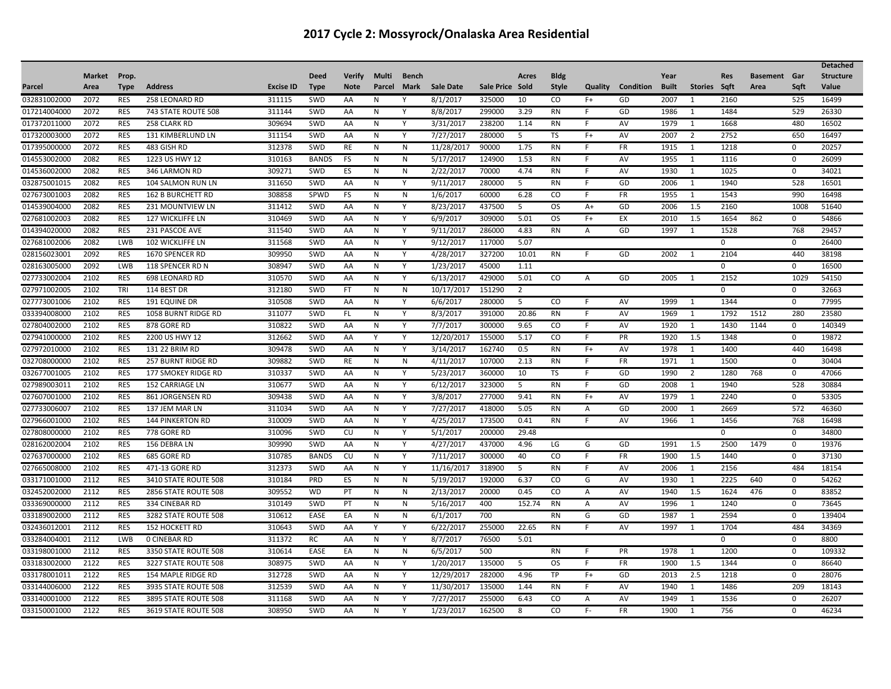|              |               |             |                           |                  |              |               |           |              |                  |                 |                |              |              |                          |              |                     |             |                 |             | <b>Detached</b>  |
|--------------|---------------|-------------|---------------------------|------------------|--------------|---------------|-----------|--------------|------------------|-----------------|----------------|--------------|--------------|--------------------------|--------------|---------------------|-------------|-----------------|-------------|------------------|
|              | <b>Market</b> | Prop.       |                           |                  | <b>Deed</b>  | <b>Verify</b> | Multi     | <b>Bench</b> |                  |                 | Acres          | <b>Bldg</b>  |              |                          | Year         |                     | <b>Res</b>  | <b>Basement</b> | Gar         | <b>Structure</b> |
| Parcel       | Area          | <b>Type</b> | <b>Address</b>            | <b>Excise ID</b> | <b>Type</b>  | <b>Note</b>   | Parcel    | <b>Mark</b>  | <b>Sale Date</b> | Sale Price Sold |                | <b>Style</b> |              | <b>Quality</b> Condition | <b>Built</b> | <b>Stories</b> Saft |             | Area            | Saft        | Value            |
| 032831002000 | 2072          | <b>RES</b>  | 258 LEONARD RD            | 311115           | SWD          | AA            | N         |              | 8/1/2017         | 325000          | 10             | CO           | $F+$         | GD                       | 2007         | $\mathbf{1}$        | 2160        |                 | 525         | 16499            |
| 017214004000 | 2072          | <b>RES</b>  | 743 STATE ROUTE 508       | 311144           | SWD          | AA            | N         | Υ            | 8/8/2017         | 299000          | 3.29           | <b>RN</b>    | F            | GD                       | 1986         | 1                   | 1484        |                 | 529         | 26330            |
| 017372011000 | 2072          | <b>RES</b>  | 258 CLARK RD              | 309694           | SWD          | AA            | N         | Y            | 3/31/2017        | 238200          | 1.14           | <b>RN</b>    | F            | AV                       | 1979         | 1                   | 1668        |                 | 480         | 16502            |
| 017320003000 | 2072          | <b>RES</b>  | 131 KIMBERLUND LN         | 311154           | SWD          | AA            | N         | Y            | 7/27/2017        | 280000          | 5              | TS           | $F+$         | AV                       | 2007         | $\overline{2}$      | 2752        |                 | 650         | 16497            |
| 017395000000 | 2072          | <b>RES</b>  | 483 GISH RD               | 312378           | SWD          | <b>RE</b>     | N         | N            | 11/28/2017       | 90000           | 1.75           | <b>RN</b>    | F.           | <b>FR</b>                | 1915         | 1                   | 1218        |                 | $\mathbf 0$ | 20257            |
| 014553002000 | 2082          | <b>RES</b>  | 1223 US HWY 12            | 310163           | <b>BANDS</b> | FS            | N         | N            | 5/17/2017        | 124900          | 1.53           | <b>RN</b>    | F            | AV                       | 1955         | -1                  | 1116        |                 | $\mathbf 0$ | 26099            |
| 014536002000 | 2082          | <b>RES</b>  | 346 LARMON RD             | 309271           | SWD          | ES            | ${\sf N}$ | ${\sf N}$    | 2/22/2017        | 70000           | 4.74           | <b>RN</b>    | F.           | AV                       | 1930         | 1                   | 1025        |                 | $\mathbf 0$ | 34021            |
| 032875001015 | 2082          | <b>RES</b>  | 104 SALMON RUN LN         | 311650           | SWD          | AA            | N         | Y            | 9/11/2017        | 280000          | 5              | <b>RN</b>    | F            | GD                       | 2006         | 1                   | 1940        |                 | 528         | 16501            |
| 027673001003 | 2082          | RES         | <b>162 B BURCHETT RD</b>  | 308858           | SPWD         | -FS           | N         | N            | 1/6/2017         | 60000           | 6.28           | CO           | F            | FR                       | 1955         | 1                   | 1543        |                 | 990         | 16498            |
| 014539004000 | 2082          | <b>RES</b>  | 231 MOUNTVIEW LN          | 311412           | SWD          | AA            | ${\sf N}$ | Y            | 8/23/2017        | 437500          | 5              | <b>OS</b>    | $A+$         | GD                       | 2006         | 1.5                 | 2160        |                 | 1008        | 51640            |
| 027681002003 | 2082          | <b>RES</b>  | <b>127 WICKLIFFE LN</b>   | 310469           | SWD          | AA            | N         | Y            | 6/9/2017         | 309000          | 5.01           | <b>OS</b>    | $F+$         | EX                       | 2010         | 1.5                 | 1654        | 862             | $\mathbf 0$ | 54866            |
| 014394020000 | 2082          | <b>RES</b>  | 231 PASCOE AVE            | 311540           | SWD          | AA            | N         | Y            | 9/11/2017        | 286000          | 4.83           | <b>RN</b>    | A            | GD                       | 1997         | 1                   | 1528        |                 | 768         | 29457            |
| 027681002006 | 2082          | <b>LWB</b>  | 102 WICKLIFFE LN          | 311568           | SWD          | AA            | N         | Y            | 9/12/2017        | 117000          | 5.07           |              |              |                          |              |                     | $\mathbf 0$ |                 | $\mathbf 0$ | 26400            |
| 028156023001 | 2092          | <b>RES</b>  | 1670 SPENCER RD           | 309950           | SWD          | AA            | N         | Y            | 4/28/2017        | 327200          | 10.01          | <b>RN</b>    | F            | GD                       | 2002         | $\mathbf{1}$        | 2104        |                 | 440         | 38198            |
| 028163005000 | 2092          | LWB         | 118 SPENCER RD N          | 308947           | SWD          | AA            | N         | Y            | 1/23/2017        | 45000           | 1.11           |              |              |                          |              |                     | $\mathbf 0$ |                 | $\mathbf 0$ | 16500            |
| 027733002004 | 2102          | RES         | 698 LEONARD RD            | 310570           | SWD          | AA            | N         | Y            | 6/13/2017        | 429000          | 5.01           | CO           | Α            | GD                       | 2005         | 1                   | 2152        |                 | 1029        | 54150            |
| 027971002005 | 2102          | <b>TRI</b>  | 114 BEST DR               | 312180           | SWD          | <b>FT</b>     | N         | ${\sf N}$    | 10/17/2017       | 151290          | $\overline{2}$ |              |              |                          |              |                     | $\mathbf 0$ |                 | $\mathbf 0$ | 32663            |
| 027773001006 | 2102          | <b>RES</b>  | <b>191 EQUINE DR</b>      | 310508           | SWD          | AA            | N         | Y            | 6/6/2017         | 280000          | 5              | CO           | F            | AV                       | 1999         | 1                   | 1344        |                 | $\Omega$    | 77995            |
| 033394008000 | 2102          | <b>RES</b>  | 1058 BURNT RIDGE RD       | 311077           | SWD          | FL.           | N         | Y            | 8/3/2017         | 391000          | 20.86          | <b>RN</b>    | F            | AV                       | 1969         | 1                   | 1792        | 1512            | 280         | 23580            |
| 027804002000 | 2102          | <b>RES</b>  | 878 GORE RD               | 310822           | SWD          | AA            | N         | Y            | 7/7/2017         | 300000          | 9.65           | CO           | F            | AV                       | 1920         | 1                   | 1430        | 1144            | $\mathbf 0$ | 140349           |
| 027941000000 | 2102          | <b>RES</b>  | 2200 US HWY 12            | 312662           | SWD          | AA            | Y         | Y            | 12/20/2017       | 155000          | 5.17           | CO           | F.           | PR                       | 1920         | 1.5                 | 1348        |                 | $\mathbf 0$ | 19872            |
| 027972010000 | 2102          | <b>RES</b>  | 131 22 BRIM RD            | 309478           | SWD          | AA            | N         | Y            | 3/14/2017        | 162740          | 0.5            | <b>RN</b>    | $F+$         | AV                       | 1978         | $\mathbf{1}$        | 1400        |                 | 440         | 16498            |
| 032708000000 | 2102          | <b>RES</b>  | <b>257 BURNT RIDGE RD</b> | 309882           | SWD          | RE            | N         | N            | 4/11/2017        | 107000          | 2.13           | <b>RN</b>    | F            | FR                       | 1971         | 1                   | 1500        |                 | $\mathbf 0$ | 30404            |
| 032677001005 | 2102          | <b>RES</b>  | 177 SMOKEY RIDGE RD       | 310337           | SWD          | AA            | N         | Y            | 5/23/2017        | 360000          | 10             | TS           | F.           | GD                       | 1990         | $\overline{2}$      | 1280        | 768             | $\mathbf 0$ | 47066            |
| 027989003011 | 2102          | <b>RES</b>  | <b>152 CARRIAGE LN</b>    | 310677           | SWD          | AA            | N         | Y            | 6/12/2017        | 323000          | 5              | <b>RN</b>    | F.           | GD                       | 2008         | 1                   | 1940        |                 | 528         | 30884            |
| 027607001000 | 2102          | <b>RES</b>  | 861 JORGENSEN RD          | 309438           | SWD          | AA            | N         | Y            | 3/8/2017         | 277000          | 9.41           | <b>RN</b>    | $F+$         | AV                       | 1979         | 1                   | 2240        |                 | $\mathbf 0$ | 53305            |
| 027733006007 | 2102          | <b>RES</b>  | 137 JEM MAR LN            | 311034           | SWD          | AA            | N         | Y            | 7/27/2017        | 418000          | 5.05           | <b>RN</b>    | Α            | GD                       | 2000         | $\mathbf{1}$        | 2669        |                 | 572         | 46360            |
| 027966001000 | 2102          | <b>RES</b>  | <b>144 PINKERTON RD</b>   | 310009           | SWD          | AA            | N         | Y            | 4/25/2017        | 173500          | 0.41           | RN           | F            | AV                       | 1966         | -1                  | 1456        |                 | 768         | 16498            |
| 027808000000 | 2102          | <b>RES</b>  | 778 GORE RD               | 310096           | SWD          | CU            | N         | Y            | 5/1/2017         | 200000          | 29.48          |              |              |                          |              |                     | $\Omega$    |                 | $\mathbf 0$ | 34800            |
| 028162002004 | 2102          | <b>RES</b>  | 156 DEBRA LN              | 309990           | SWD          | AA            | N         | Y            | 4/27/2017        | 437000          | 4.96           | LG           | G            | GD                       | 1991         | 1.5                 | 2500        | 1479            | $\mathsf 0$ | 19376            |
| 027637000000 | 2102          | <b>RES</b>  | 685 GORE RD               | 310785           | <b>BANDS</b> | CU            | N         | Y            | 7/11/2017        | 300000          | 40             | CO           | F.           | FR                       | 1900         | 1.5                 | 1440        |                 | $\mathbf 0$ | 37130            |
| 027665008000 | 2102          | <b>RES</b>  | 471-13 GORE RD            | 312373           | SWD          | AA            | N         | Y            | 11/16/2017       | 318900          | 5              | <b>RN</b>    | F.           | AV                       | 2006         | 1                   | 2156        |                 | 484         | 18154            |
| 033171001000 | 2112          | <b>RES</b>  | 3410 STATE ROUTE 508      | 310184           | PRD          | ES            | N         | ${\sf N}$    | 5/19/2017        | 192000          | 6.37           | CO           | G            | AV                       | 1930         | 1                   | 2225        | 640             | $\mathbf 0$ | 54262            |
| 032452002000 | 2112          | <b>RES</b>  | 2856 STATE ROUTE 508      | 309552           | <b>WD</b>    | PT            | N         | N            | 2/13/2017        | 20000           | 0.45           | CO           | $\mathsf{A}$ | AV                       | 1940         | 1.5                 | 1624        | 476             | $\mathbf 0$ | 83852            |
| 033369000000 | 2112          | <b>RES</b>  | 334 CINEBAR RD            | 310149           | SWD          | PT            | N         | N            | 5/16/2017        | 400             | 152.74         | <b>RN</b>    | A            | AV                       | 1996         | 1                   | 1240        |                 | $\mathbf 0$ | 73645            |
| 033189002000 | 2112          | <b>RES</b>  | 3282 STATE ROUTE 508      | 310612           | EASE         | EA            | N         | ${\sf N}$    | 6/1/2017         | 700             |                | <b>RN</b>    | G            | GD                       | 1987         | -1                  | 2594        |                 | $\mathbf 0$ | 139404           |
| 032436012001 | 2112          | <b>RES</b>  | <b>152 HOCKETT RD</b>     | 310643           | SWD          | AA            | Y         | Y            | 6/22/2017        | 255000          | 22.65          | <b>RN</b>    | F.           | AV                       | 1997         | 1                   | 1704        |                 | 484         | 34369            |
| 033284004001 | 2112          | LWB         | <b>0 CINEBAR RD</b>       | 311372           | RC           | AA            | N         | Y            | 8/7/2017         | 76500           | 5.01           |              |              |                          |              |                     | $\mathbf 0$ |                 | $\mathbf 0$ | 8800             |
| 033198001000 | 2112          | <b>RES</b>  | 3350 STATE ROUTE 508      | 310614           | EASE         | EA            | N         | N            | 6/5/2017         | 500             |                | RN           |              | PR                       | 1978         | 1                   | 1200        |                 | $\mathbf 0$ | 109332           |
| 033183002000 | 2122          | <b>RES</b>  | 3227 STATE ROUTE 508      | 308975           | SWD          | AA            | N         | Υ            | 1/20/2017        | 135000          | 5              | <b>OS</b>    | F.           | FR                       | 1900         | 1.5                 | 1344        |                 | $\mathbf 0$ | 86640            |
| 033178001011 | 2122          | <b>RES</b>  | 154 MAPLE RIDGE RD        | 312728           | SWD          | AA            | N         | Y            | 12/29/2017       | 282000          | 4.96           | TP           | $F+$         | GD                       | 2013         | 2.5                 | 1218        |                 | $\mathbf 0$ | 28076            |
| 033144006000 | 2122          | <b>RES</b>  | 3935 STATE ROUTE 508      | 312539           | SWD          | AA            | N         | Y            | 11/30/2017       | 135000          | 1.44           | <b>RN</b>    | F.           | AV                       | 1940         | 1                   | 1486        |                 | 209         | 18143            |
| 033140001000 | 2122          | <b>RES</b>  | 3895 STATE ROUTE 508      | 311168           | SWD          | AA            | N         | Y            | 7/27/2017        | 255000          | 6.43           | CO           | A            | AV                       | 1949         | 1                   | 1536        |                 | $\mathbf 0$ | 26207            |
| 033150001000 | 2122          | <b>RES</b>  | 3619 STATE ROUTE 508      | 308950           | SWD          | AA            | N         | Y            | 1/23/2017        | 162500          | 8              | CO           | F-           | <b>FR</b>                | 1900         | 1                   | 756         |                 | $\mathbf 0$ | 46234            |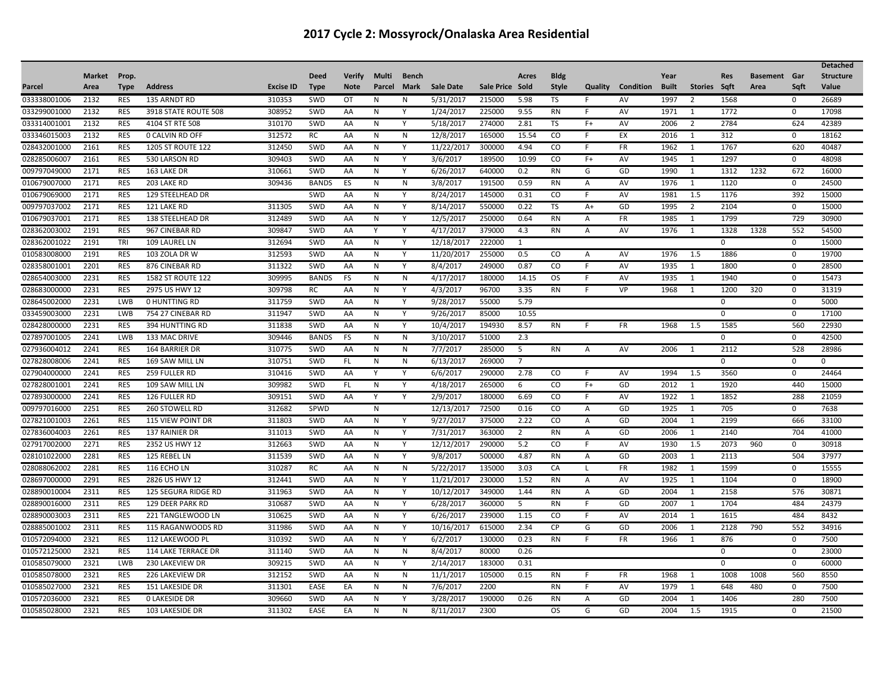|              |               |             |                          |                  |              |               |              |              |                  |                 |                |              |                |           |              |                |             |                     |             | <b>Detached</b>  |
|--------------|---------------|-------------|--------------------------|------------------|--------------|---------------|--------------|--------------|------------------|-----------------|----------------|--------------|----------------|-----------|--------------|----------------|-------------|---------------------|-------------|------------------|
|              | <b>Market</b> | Prop.       |                          |                  | <b>Deed</b>  | <b>Verify</b> | Multi        | <b>Bench</b> |                  |                 | Acres          | <b>Bldg</b>  |                |           | Year         |                | <b>Res</b>  | <b>Basement</b> Gar |             | <b>Structure</b> |
| Parcel       | Area          | <b>Type</b> | <b>Address</b>           | <b>Excise ID</b> | <b>Type</b>  | <b>Note</b>   | Parcel       | <b>Mark</b>  | <b>Sale Date</b> | Sale Price Sold |                | <b>Style</b> | Quality        | Condition | <b>Built</b> | Stories Sqft   |             | Area                | Saft        | Value            |
| 033338001006 | 2132          | RES         | 135 ARNDT RD             | 310353           | SWD          | OТ            | N            | N            | 5/31/2017        | 215000          | 5.98           | TS           | F              | AV        | 1997         | $\overline{2}$ | 1568        |                     | 0           | 26689            |
| 033299001000 | 2132          | <b>RES</b>  | 3918 STATE ROUTE 508     | 308952           | SWD          | AA            | N            | Y            | 1/24/2017        | 225000          | 9.55           | <b>RN</b>    | F              | AV        | 1971         | 1              | 1772        |                     | $\mathbf 0$ | 17098            |
| 033314001001 | 2132          | <b>RES</b>  | 4104 ST RTE 508          | 310170           | SWD          | AA            | N            | Y            | 5/18/2017        | 274000          | 2.81           | TS           | $F+$           | AV        | 2006         | $\overline{2}$ | 2784        |                     | 624         | 42389            |
| 033346015003 | 2132          | <b>RES</b>  | <b>0 CALVIN RD OFF</b>   | 312572           | RC           | AA            | N            | N            | 12/8/2017        | 165000          | 15.54          | CO           | F              | EX        | 2016         | 1              | 312         |                     | $\mathbf 0$ | 18162            |
| 028432001000 | 2161          | <b>RES</b>  | <b>1205 ST ROUTE 122</b> | 312450           | SWD          | AA            | N            | Y            | 11/22/2017       | 300000          | 4.94           | CO           | F.             | <b>FR</b> | 1962         | 1              | 1767        |                     | 620         | 40487            |
| 028285006007 | 2161          | <b>RES</b>  | 530 LARSON RD            | 309403           | SWD          | AA            | N            | Y            | 3/6/2017         | 189500          | 10.99          | CO           | $F+$           | AV        | 1945         | $\mathbf{1}$   | 1297        |                     | $\mathbf 0$ | 48098            |
| 009797049000 | 2171          | <b>RES</b>  | 163 LAKE DR              | 310661           | SWD          | AA            | $\mathsf{N}$ | Y            | 6/26/2017        | 640000          | 0.2            | <b>RN</b>    | G              | GD        | 1990         | 1              | 1312        | 1232                | 672         | 16000            |
| 010679007000 | 2171          | <b>RES</b>  | 203 LAKE RD              | 309436           | <b>BANDS</b> | ES            | $\mathsf{N}$ | N            | 3/8/2017         | 191500          | 0.59           | <b>RN</b>    | Α              | AV        | 1976         | $\mathbf{1}$   | 1120        |                     | $\Omega$    | 24500            |
| 010679069000 | 2171          | <b>RES</b>  | 129 STEELHEAD DR         |                  | SWD          | AA            | N            | Y            | 8/24/2017        | 145000          | 0.31           | CO.          | F              | AV        | 1981         | 1.5            | 1176        |                     | 392         | 15000            |
| 009797037002 | 2171          | <b>RES</b>  | 121 LAKE RD              | 311305           | SWD          | AA            | N            | Y            | 8/14/2017        | 550000          | 0.22           | TS           | $A+$           | GD        | 1995         | $\overline{2}$ | 2104        |                     | $\mathbf 0$ | 15000            |
| 010679037001 | 2171          | <b>RES</b>  | 138 STEELHEAD DR         | 312489           | SWD          | AA            | $\mathsf{N}$ | Y            | 12/5/2017        | 250000          | 0.64           | <b>RN</b>    | Α              | FR        | 1985         | $\mathbf{1}$   | 1799        |                     | 729         | 30900            |
| 028362003002 | 2191          | <b>RES</b>  | 967 CINEBAR RD           | 309847           | SWD          | AA            | Y            | Y            | 4/17/2017        | 379000          | 4.3            | <b>RN</b>    | A              | AV        | 1976         | 1              | 1328        | 1328                | 552         | 54500            |
| 028362001022 | 2191          | TRI         | 109 LAUREL LN            | 312694           | SWD          | AA            | N            | Y            | 12/18/2017       | 222000          | 1              |              |                |           |              |                | $\mathbf 0$ |                     | $\mathbf 0$ | 15000            |
| 010583008000 | 2191          | <b>RES</b>  | 103 ZOLA DR W            | 312593           | SWD          | AA            | N            | Y            | 11/20/2017       | 255000          | 0.5            | CO           | Α              | AV        | 1976         | 1.5            | 1886        |                     | $\mathbf 0$ | 19700            |
| 028358001001 | 2201          | <b>RES</b>  | 876 CINEBAR RD           | 311322           | SWD          | AA            | N            | Y            | 8/4/2017         | 249000          | 0.87           | CO           | F              | AV        | 1935         | 1              | 1800        |                     | $\Omega$    | 28500            |
| 028654003000 | 2231          | <b>RES</b>  | <b>1582 ST ROUTE 122</b> | 309995           | <b>BANDS</b> | FS            | N            | N            | 4/17/2017        | 180000          | 14.15          | <b>OS</b>    | F              | AV        | 1935         | $\mathbf{1}$   | 1940        |                     | $\mathbf 0$ | 15473            |
| 028683000000 | 2231          | <b>RES</b>  | 2975 US HWY 12           | 309798           | <b>RC</b>    | AA            | N            | Y            | 4/3/2017         | 96700           | 3.35           | <b>RN</b>    | F              | VP        | 1968         | $\mathbf{1}$   | 1200        | 320                 | $\mathbf 0$ | 31319            |
| 028645002000 | 2231          | LWB         | <b>0 HUNTTING RD</b>     | 311759           | SWD          | AA            | N            | Y            | 9/28/2017        | 55000           | 5.79           |              |                |           |              |                | $\mathbf 0$ |                     | $\mathbf 0$ | 5000             |
| 033459003000 | 2231          | LWB         | 754 27 CINEBAR RD        | 311947           | SWD          | AA            | N            | Y            | 9/26/2017        | 85000           | 10.55          |              |                |           |              |                | $\Omega$    |                     | $\mathbf 0$ | 17100            |
| 028428000000 | 2231          | <b>RES</b>  | 394 HUNTTING RD          | 311838           | SWD          | AA            | N            | Y            | 10/4/2017        | 194930          | 8.57           | RN           | F.             | FR        | 1968         | 1.5            | 1585        |                     | 560         | 22930            |
| 027897001005 | 2241          | LWB         | 133 MAC DRIVE            | 309446           | <b>BANDS</b> | <b>FS</b>     | N            | N            | 3/10/2017        | 51000           | 2.3            |              |                |           |              |                | $\mathbf 0$ |                     | $\mathbf 0$ | 42500            |
| 027936004012 | 2241          | <b>RES</b>  | 164 BARRIER DR           | 310775           | SWD          | AA            | N            | N            | 7/7/2017         | 285000          | 5              | <b>RN</b>    | $\overline{A}$ | AV        | 2006         | 1              | 2112        |                     | 528         | 28986            |
| 027828008006 | 2241          | <b>RES</b>  | 169 SAW MILL LN          | 310751           | SWD          | FL.           | N            | N            | 6/13/2017        | 269000          | $\overline{7}$ |              |                |           |              |                | $\mathbf 0$ |                     | $\mathbf 0$ | $\Omega$         |
| 027904000000 | 2241          | <b>RES</b>  | 259 FULLER RD            | 310416           | SWD          | AA            | Y            | Y            | 6/6/2017         | 290000          | 2.78           | CO           | F              | AV        | 1994         | 1.5            | 3560        |                     | $\mathbf 0$ | 24464            |
| 027828001001 | 2241          | <b>RES</b>  | 109 SAW MILL LN          | 309982           | SWD          | FL.           | N            | Y            | 4/18/2017        | 265000          | 6              | CO           | $F+$           | GD        | 2012         | 1              | 1920        |                     | 440         | 15000            |
| 027893000000 | 2241          | <b>RES</b>  | 126 FULLER RD            | 309151           | SWD          | AA            | Y            | Υ            | 2/9/2017         | 180000          | 6.69           | CO           | F              | AV        | 1922         | 1              | 1852        |                     | 288         | 21059            |
| 009797016000 | 2251          | <b>RES</b>  | <b>260 STOWELL RD</b>    | 312682           | SPWD         |               | N            |              | 12/13/2017       | 72500           | 0.16           | CO           | Α              | GD        | 1925         | 1              | 705         |                     | $\Omega$    | 7638             |
| 027821001003 | 2261          | <b>RES</b>  | 115 VIEW POINT DR        | 311803           | SWD          | AA            | N            | Y            | 9/27/2017        | 375000          | 2.22           | CO           | А              | GD        | 2004         | -1             | 2199        |                     | 666         | 33100            |
| 027836004003 | 2261          | <b>RES</b>  | 137 RAINIER DR           | 311013           | SWD          | AA            | N            | Y            | 7/31/2017        | 363000          | $\overline{2}$ | <b>RN</b>    | $\overline{A}$ | GD        | 2006         | 1              | 2140        |                     | 704         | 41000            |
| 027917002000 | 2271          | <b>RES</b>  | 2352 US HWY 12           | 312663           | SWD          | AA            | N            | Y            | 12/12/2017       | 290000          | 5.2            | CO           | F.             | AV        | 1930         | 1.5            | 2073        | 960                 | $\mathbf 0$ | 30918            |
| 028101022000 | 2281          | <b>RES</b>  | 125 REBEL LN             | 311539           | SWD          | AA            | N            | Y            | 9/8/2017         | 500000          | 4.87           | RN           | A              | GD        | 2003         | 1              | 2113        |                     | 504         | 37977            |
| 028088062002 | 2281          | <b>RES</b>  | 116 ECHO LN              | 310287           | RC           | AA            | N            | N            | 5/22/2017        | 135000          | 3.03           | CA           | $\mathbf{I}$   | FR        | 1982         | 1              | 1599        |                     | $\mathbf 0$ | 15555            |
| 028697000000 | 2291          | <b>RES</b>  | 2826 US HWY 12           | 312441           | SWD          | AA            | N            | Y            | 11/21/2017       | 230000          | 1.52           | <b>RN</b>    | Α              | AV        | 1925         | 1              | 1104        |                     | $\mathbf 0$ | 18900            |
| 028890010004 | 2311          | <b>RES</b>  | 125 SEGURA RIDGE RD      | 311963           | SWD          | AA            | N            | Y            | 10/12/2017       | 349000          | 1.44           | <b>RN</b>    | A              | GD        | 2004         | 1              | 2158        |                     | 576         | 30871            |
| 028890016000 | 2311          | <b>RES</b>  | 129 DEER PARK RD         | 310687           | SWD          | AA            | N            | Y            | 6/28/2017        | 360000          | 5              | <b>RN</b>    | F.             | GD        | 2007         | 1              | 1704        |                     | 484         | 24379            |
| 028890003003 | 2311          | <b>RES</b>  | 221 TANGLEWOOD LN        | 310625           | SWD          | AA            | N            | Y            | 6/26/2017        | 239000          | 1.15           | CO           | F              | AV        | 2014         | 1              | 1615        |                     | 484         | 8432             |
| 028885001002 | 2311          | <b>RES</b>  | 115 RAGANWOODS RD        | 311986           | SWD          | AA            | N            | Y            | 10/16/2017       | 615000          | 2.34           | <b>CP</b>    | G              | GD        | 2006         | 1              | 2128        | 790                 | 552         | 34916            |
| 010572094000 | 2321          | <b>RES</b>  | 112 LAKEWOOD PL          | 310392           | SWD          | AA            | N            | Y            | 6/2/2017         | 130000          | 0.23           | <b>RN</b>    | F              | FR        | 1966         | $\mathbf{1}$   | 876         |                     | $\mathbf 0$ | 7500             |
| 010572125000 | 2321          | <b>RES</b>  | 114 LAKE TERRACE DR      | 311140           | SWD          | AA            | N            | N            | 8/4/2017         | 80000           | 0.26           |              |                |           |              |                | $\mathbf 0$ |                     | $\mathbf 0$ | 23000            |
| 010585079000 | 2321          | LWB         | <b>230 LAKEVIEW DR</b>   | 309215           | SWD          | AA            | N            | Y            | 2/14/2017        | 183000          | 0.31           |              |                |           |              |                | $\mathbf 0$ |                     | $\mathbf 0$ | 60000            |
| 010585078000 | 2321          | <b>RES</b>  | 226 LAKEVIEW DR          | 312152           | SWD          | AA            | N            | N            | 11/1/2017        | 105000          | 0.15           | RN           | F              | FR        | 1968         | 1              | 1008        | 1008                | 560         | 8550             |
| 010585027000 | 2321          | RES         | 151 LAKESIDE DR          | 311301           | EASE         | EA            | N            | N            | 7/6/2017         | 2200            |                | <b>RN</b>    | F.             | AV        | 1979         | 1              | 648         | 480                 | $\mathbf 0$ | 7500             |
| 010572036000 | 2321          | <b>RES</b>  | <b>0 LAKESIDE DR</b>     | 309660           | SWD          | AA            | N            | Y            | 3/28/2017        | 190000          | 0.26           | <b>RN</b>    | $\mathsf{A}$   | GD        | 2004         | 1              | 1406        |                     | 280         | 7500             |
| 010585028000 | 2321          | <b>RES</b>  | 103 LAKESIDE DR          | 311302           | EASE         | EA            | N            | N            | 8/11/2017        | 2300            |                | <b>OS</b>    | G              | GD        | 2004         | 1.5            | 1915        |                     | $\Omega$    | 21500            |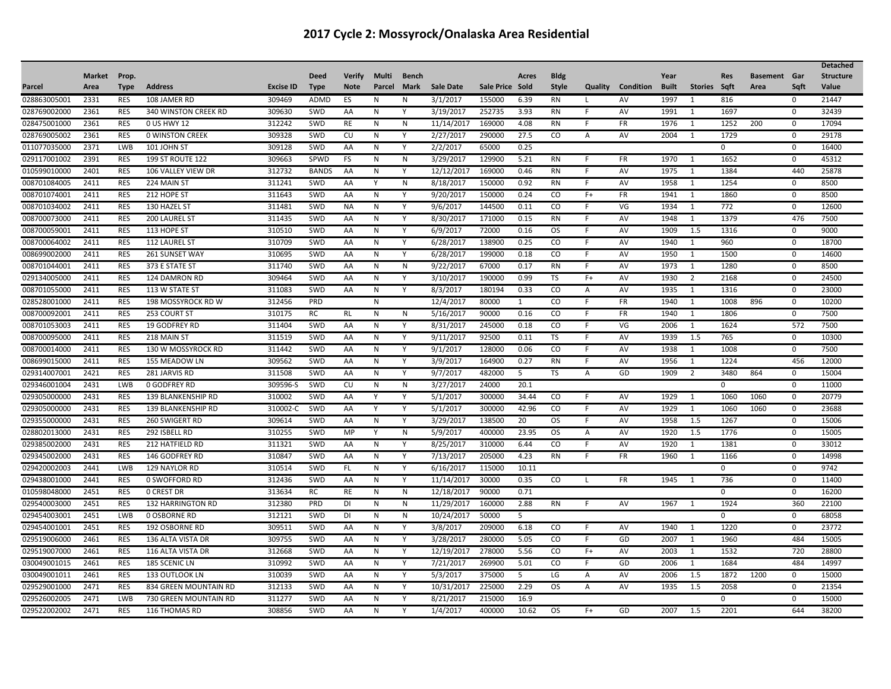|              |               |             |                             |                  |              |               |        |             |                  |                 |       |               |                |           |              |                |              |                 |             | <b>Detached</b>  |
|--------------|---------------|-------------|-----------------------------|------------------|--------------|---------------|--------|-------------|------------------|-----------------|-------|---------------|----------------|-----------|--------------|----------------|--------------|-----------------|-------------|------------------|
|              | <b>Market</b> | Prop.       |                             |                  | <b>Deed</b>  | <b>Verify</b> | Multi  | Bench       |                  |                 | Acres | <b>Bldg</b>   |                |           | Year         |                | <b>Res</b>   | <b>Basement</b> | Gar         | <b>Structure</b> |
| Parcel       | Area          | <b>Type</b> | <b>Address</b>              | <b>Excise ID</b> | <b>Type</b>  | <b>Note</b>   | Parcel | <b>Mark</b> | <b>Sale Date</b> | Sale Price Sold |       | <b>Style</b>  | Quality        | Condition | <b>Built</b> | Stories Sqft   |              | Area            | Saft        | Value            |
| 028863005001 | 2331          | <b>RES</b>  | 108 JAMER RD                | 309469           | ADMD         | ES            | N      | N           | 3/1/2017         | 155000          | 6.39  | RN            | $\mathbf{L}$   | AV        | 1997         | $\mathbf{1}$   | 816          |                 | 0           | 21447            |
| 028769002000 | 2361          | <b>RES</b>  | <b>340 WINSTON CREEK RD</b> | 309630           | SWD          | AA            | N      | Υ           | 3/19/2017        | 252735          | 3.93  | <b>RN</b>     | F              | AV        | 1991         | 1              | 1697         |                 | $\mathbf 0$ | 32439            |
| 028475001000 | 2361          | <b>RES</b>  | 0 US HWY 12                 | 312242           | SWD          | RE            | N      | ${\sf N}$   | 11/14/2017       | 169000          | 4.08  | RN            | F              | <b>FR</b> | 1976         | 1              | 1252         | 200             | $\mathbf 0$ | 17094            |
| 028769005002 | 2361          | <b>RES</b>  | <b>0 WINSTON CREEK</b>      | 309328           | SWD          | CU            | N      | Y           | 2/27/2017        | 290000          | 27.5  | CO            | Α              | AV        | 2004         | $\mathbf{1}$   | 1729         |                 | $\mathbf 0$ | 29178            |
| 011077035000 | 2371          | LWB         | <b>101 JOHN ST</b>          | 309128           | SWD          | AA            | N      | Y           | 2/2/2017         | 65000           | 0.25  |               |                |           |              |                | $\Omega$     |                 | $\mathbf 0$ | 16400            |
| 029117001002 | 2391          | <b>RES</b>  | <b>199 ST ROUTE 122</b>     | 309663           | SPWD         | <b>FS</b>     | N      | N           | 3/29/2017        | 129900          | 5.21  | <b>RN</b>     | F              | <b>FR</b> | 1970         | 1              | 1652         |                 | $\mathbf 0$ | 45312            |
| 010599010000 | 2401          | <b>RES</b>  | 106 VALLEY VIEW DR          | 312732           | <b>BANDS</b> | AA            | N      | Y           | 12/12/2017       | 169000          | 0.46  | <b>RN</b>     | F              | AV        | 1975         | 1              | 1384         |                 | 440         | 25878            |
| 008701084005 | 2411          | <b>RES</b>  | 224 MAIN ST                 | 311241           | SWD          | AA            | Y      | N           | 8/18/2017        | 150000          | 0.92  | <b>RN</b>     | F              | AV        | 1958         | $\mathbf{1}$   | 1254         |                 | $\Omega$    | 8500             |
| 008701074001 | 2411          | <b>RES</b>  | 212 HOPE ST                 | 311643           | SWD          | AA            | N      | Y           | 9/20/2017        | 150000          | 0.24  | CO.           | F+             | FR        | 1941         | 1              | 1860         |                 | $\mathbf 0$ | 8500             |
| 008701034002 | 2411          | <b>RES</b>  | 130 HAZEL ST                | 311481           | SWD          | <b>NA</b>     | N      | Y           | 9/6/2017         | 144500          | 0.11  | CO            | F.             | VG        | 1934         | 1              | 772          |                 | $\mathbf 0$ | 12600            |
| 008700073000 | 2411          | <b>RES</b>  | 200 LAUREL ST               | 311435           | SWD          | AA            | N      | Y           | 8/30/2017        | 171000          | 0.15  | <b>RN</b>     | F              | AV        | 1948         | $\mathbf{1}$   | 1379         |                 | 476         | 7500             |
| 008700059001 | 2411          | <b>RES</b>  | 113 HOPE ST                 | 310510           | SWD          | AA            | N      | Y           | 6/9/2017         | 72000           | 0.16  | <b>OS</b>     | F              | AV        | 1909         | 1.5            | 1316         |                 | $\mathbf 0$ | 9000             |
| 008700064002 | 2411          | <b>RES</b>  | <b>112 LAUREL ST</b>        | 310709           | SWD          | AA            | N      | Υ           | 6/28/2017        | 138900          | 0.25  | CO            | F.             | AV        | 1940         | 1              | 960          |                 | $\mathbf 0$ | 18700            |
| 008699002000 | 2411          | <b>RES</b>  | 261 SUNSET WAY              | 310695           | SWD          | AA            | N      | Y           | 6/28/2017        | 199000          | 0.18  | CO            | F              | AV        | 1950         | $\mathbf{1}$   | 1500         |                 | $\mathbf 0$ | 14600            |
| 008701044001 | 2411          | <b>RES</b>  | 373 E STATE ST              | 311740           | SWD          | AA            | N      | N           | 9/22/2017        | 67000           | 0.17  | RN            | F              | AV        | 1973         | 1              | 1280         |                 | $\Omega$    | 8500             |
| 029134005000 | 2411          | <b>RES</b>  | 124 DAMRON RD               | 309464           | SWD          | AA            | N      | Y           | 3/10/2017        | 190000          | 0.99  | <b>TS</b>     | $F+$           | AV        | 1930         | 2              | 2168         |                 | $\mathbf 0$ | 24500            |
| 008701055000 | 2411          | <b>RES</b>  | 113 W STATE ST              | 311083           | SWD          | AA            | N      | Y           | 8/3/2017         | 180194          | 0.33  | CO            | A              | AV        | 1935         | $\mathbf{1}$   | 1316         |                 | $\mathbf 0$ | 23000            |
| 028528001000 | 2411          | <b>RES</b>  | 198 MOSSYROCK RD W          | 312456           | PRD          |               | N      |             | 12/4/2017        | 80000           | 1     | CO            | F              | <b>FR</b> | 1940         | 1              | 1008         | 896             | $\Omega$    | 10200            |
| 008700092001 | 2411          | <b>RES</b>  | 253 COURT ST                | 310175           | <b>RC</b>    | <b>RL</b>     | N      | N           | 5/16/2017        | 90000           | 0.16  | CO            | F              | <b>FR</b> | 1940         | 1              | 1806         |                 | $\mathbf 0$ | 7500             |
| 008701053003 | 2411          | <b>RES</b>  | 19 GODFREY RD               | 311404           | SWD          | AA            | N      | Y           | 8/31/2017        | 245000          | 0.18  | CO.           | F              | VG        | 2006         | 1              | 1624         |                 | 572         | 7500             |
| 008700095000 | 2411          | <b>RES</b>  | <b>218 MAIN ST</b>          | 311519           | SWD          | AA            | N      | Y           | 9/11/2017        | 92500           | 0.11  | TS            | F.             | AV        | 1939         | 1.5            | 765          |                 | $\mathbf 0$ | 10300            |
| 008700014000 | 2411          | <b>RES</b>  | 130 W MOSSYROCK RD          | 311442           | SWD          | AA            | N      | Y           | 9/1/2017         | 128000          | 0.06  | CO            | F              | AV        | 1938         | 1              | 1008         |                 | $\Omega$    | 7500             |
| 008699015000 | 2411          | <b>RES</b>  | 155 MEADOW LN               | 309562           | SWD          | AA            | N      | Y           | 3/9/2017         | 164900          | 0.27  | <b>RN</b>     | F              | AV        | 1956         | 1              | 1224         |                 | 456         | 12000            |
| 029314007001 | 2421          | <b>RES</b>  | 281 JARVIS RD               | 311508           | SWD          | AA            | N      | Y           | 9/7/2017         | 482000          | 5     | <b>TS</b>     | $\overline{A}$ | GD        | 1909         | $\overline{2}$ | 3480         | 864             | $\mathbf 0$ | 15004            |
| 029346001004 | 2431          | <b>LWB</b>  | 0 GODFREY RD                | 309596-S         | SWD          | CU            | N      | N           | 3/27/2017        | 24000           | 20.1  |               |                |           |              |                | $\mathbf{0}$ |                 | $\mathsf 0$ | 11000            |
| 029305000000 | 2431          | <b>RES</b>  | <b>139 BLANKENSHIP RD</b>   | 310002           | SWD          | AA            | Y      | Y           | 5/1/2017         | 300000          | 34.44 | CO.           | F              | AV        | 1929         | $\mathbf{1}$   | 1060         | 1060            | $\mathbf 0$ | 20779            |
| 029305000000 | 2431          | <b>RES</b>  | <b>139 BLANKENSHIP RD</b>   | 310002-C         | SWD          | AA            | Y      | Y           | 5/1/2017         | 300000          | 42.96 | <sub>CO</sub> | F.             | AV        | 1929         | 1              | 1060         | 1060            | $\mathbf 0$ | 23688            |
| 029355000000 | 2431          | <b>RES</b>  | 260 SWIGERT RD              | 309614           | SWD          | AA            | N      | Y           | 3/29/2017        | 138500          | 20    | <b>OS</b>     | F              | AV        | 1958         | 1.5            | 1267         |                 | $\mathbf 0$ | 15006            |
| 028802013000 | 2431          | <b>RES</b>  | 292 ISBELL RD               | 310255           | SWD          | MP            |        | N           | 5/9/2017         | 40000C          | 23.95 | <b>OS</b>     | A              | AV        | 1920         | 1.5            | 1776         |                 | $\Omega$    | 15005            |
| 029385002000 | 2431          | <b>RES</b>  | 212 HATFIELD RD             | 311321           | SWD          | AA            | N      | Y           | 8/25/2017        | 310000          | 6.44  | CO.           | F.             | AV        | 1920         | 1              | 1381         |                 | $\mathbf 0$ | 33012            |
| 029345002000 | 2431          | <b>RES</b>  | 146 GODFREY RD              | 310847           | SWD          | AA            | N      | Y           | 7/13/2017        | 205000          | 4.23  | RN            | F              | FR        | 1960         | 1              | 1166         |                 | $\mathbf 0$ | 14998            |
| 029420002003 | 2441          | LWB         | <b>129 NAYLOR RD</b>        | 310514           | SWD          | FL.           | N      | Y           | 6/16/2017        | 115000          | 10.11 |               |                |           |              |                | $\mathbf 0$  |                 | $\mathbf 0$ | 9742             |
| 029438001000 | 2441          | <b>RES</b>  | 0 SWOFFORD RD               | 312436           | SWD          | AA            | N      | Y           | 11/14/2017       | 30000           | 0.35  | CO            |                | <b>FR</b> | 1945         | 1              | 736          |                 | $\mathbf 0$ | 11400            |
| 010598048000 | 2451          | <b>RES</b>  | <b>O CREST DR</b>           | 313634           | <b>RC</b>    | RE            | N      | N           | 12/18/2017       | 90000           | 0.71  |               |                |           |              |                | $\mathbf 0$  |                 | $\mathbf 0$ | 16200            |
| 029540003000 | 2451          | <b>RES</b>  | 132 HARRINGTON RD           | 312380           | PRD          | DI            | N      | N           | 11/29/2017       | 160000          | 2.88  | RN            | F              | AV        | 1967         | 1              | 1924         |                 | 360         | 22100            |
| 029454003001 | 2451          | LWB         | 0 OSBORNE RD                | 312121           | SWD          | DI            | N      | N           | 10/24/2017       | 50000           | 5     |               |                |           |              |                | $\Omega$     |                 | $\mathbf 0$ | 68058            |
| 029454001001 | 2451          | <b>RES</b>  | 192 OSBORNE RD              | 309511           | SWD          | AA            | N      | Y           | 3/8/2017         | 209000          | 6.18  | CO            | F.             | AV        | 1940         | 1              | 1220         |                 | $\mathbf 0$ | 23772            |
| 029519006000 | 2461          | <b>RES</b>  | 136 ALTA VISTA DR           | 309755           | SWD          | AA            | N      | Y           | 3/28/2017        | 280000          | 5.05  | CO            | F              | GD        | 2007         | 1              | 1960         |                 | 484         | 15005            |
| 029519007000 | 2461          | <b>RES</b>  | 116 ALTA VISTA DR           | 312668           | SWD          | AA            | N      | Y           | 12/19/2017       | 278000          | 5.56  | CO            | $F+$           | AV        | 2003         | $\mathbf{1}$   | 1532         |                 | 720         | 28800            |
| 030049001015 | 2461          | <b>RES</b>  | 185 SCENIC LN               | 310992           | SWD          | AA            | N      | Y           | 7/21/2017        | 269900          | 5.01  | CO            | F.             | GD        | 2006         | 1              | 1684         |                 | 484         | 14997            |
| 030049001011 | 2461          | <b>RES</b>  | <b>133 OUTLOOK LN</b>       | 310039           | SWD          | AA            | N      | Y           | 5/3/2017         | 375000          | 5     | LG            | $\mathsf{A}$   | AV        | 2006         | 1.5            | 1872         | 1200            | $\mathbf 0$ | 15000            |
| 029529001000 | 2471          | RES         | 834 GREEN MOUNTAIN RD       | 312133           | SWD          | AA            | N      | Y           | 10/31/2017       | 225000          | 2.29  | <b>OS</b>     | A              | AV        | 1935         | 1.5            | 2058         |                 | $\mathbf 0$ | 21354            |
| 029526002005 | 2471          | <b>LWB</b>  | 730 GREEN MOUNTAIN RD       | 311277           | SWD          | AA            | N      | Y           | 8/21/2017        | 215000          | 16.9  |               |                |           |              |                | $\Omega$     |                 | $\Omega$    | 15000            |
| 029522002002 | 2471          | <b>RES</b>  | 116 THOMAS RD               | 308856           | SWD          | AA            | N      | Y           | 1/4/2017         | 400000          | 10.62 | <b>OS</b>     | $F+$           | GD        | 2007         | 1.5            | 2201         |                 | 644         | 38200            |